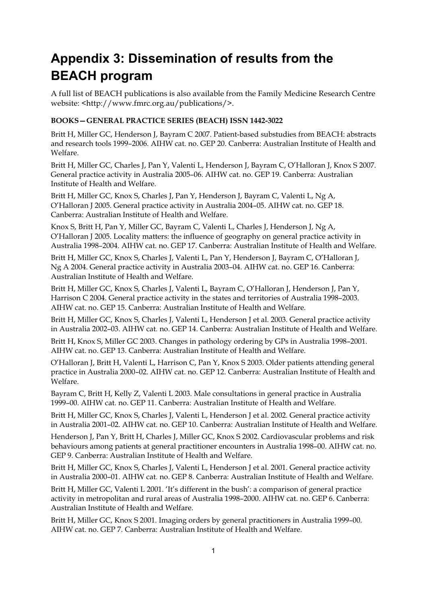# **Appendix 3: Dissemination of results from the BEACH program**

A full list of BEACH publications is also available from the Family Medicine Research Centre website: <http://www.fmrc.org.au/publications/>.

### **BOOKS—GENERAL PRACTICE SERIES (BEACH) ISSN 1442-3022**

Britt H, Miller GC, Henderson J, Bayram C 2007. Patient-based substudies from BEACH: abstracts and research tools 1999–2006. AIHW cat. no. GEP 20. Canberra: Australian Institute of Health and Welfare.

Britt H, Miller GC, Charles J, Pan Y, Valenti L, Henderson J, Bayram C, O'Halloran J, Knox S 2007. General practice activity in Australia 2005–06. AIHW cat. no. GEP 19. Canberra: Australian Institute of Health and Welfare.

Britt H, Miller GC, Knox S, Charles J, Pan Y, Henderson J, Bayram C, Valenti L, Ng A, O'Halloran J 2005. General practice activity in Australia 2004–05. AIHW cat. no. GEP 18. Canberra: Australian Institute of Health and Welfare.

Knox S, Britt H, Pan Y, Miller GC, Bayram C, Valenti L, Charles J, Henderson J, Ng A, O'Halloran J 2005. Locality matters: the influence of geography on general practice activity in Australia 1998–2004. AIHW cat. no. GEP 17. Canberra: Australian Institute of Health and Welfare.

Britt H, Miller GC, Knox S, Charles J, Valenti L, Pan Y, Henderson J, Bayram C, O'Halloran J, Ng A 2004. General practice activity in Australia 2003–04. AIHW cat. no. GEP 16. Canberra: Australian Institute of Health and Welfare.

Britt H, Miller GC, Knox S, Charles J, Valenti L, Bayram C, O'Halloran J, Henderson J, Pan Y, Harrison C 2004. General practice activity in the states and territories of Australia 1998–2003. AIHW cat. no. GEP 15. Canberra: Australian Institute of Health and Welfare.

Britt H, Miller GC, Knox S, Charles J, Valenti L, Henderson J et al. 2003. General practice activity in Australia 2002–03. AIHW cat. no. GEP 14. Canberra: Australian Institute of Health and Welfare.

Britt H, Knox S, Miller GC 2003. Changes in pathology ordering by GPs in Australia 1998–2001. AIHW cat. no. GEP 13. Canberra: Australian Institute of Health and Welfare.

O'Halloran J, Britt H, Valenti L, Harrison C, Pan Y, Knox S 2003. Older patients attending general practice in Australia 2000–02. AIHW cat. no. GEP 12. Canberra: Australian Institute of Health and Welfare.

Bayram C, Britt H, Kelly Z, Valenti L 2003. Male consultations in general practice in Australia 1999–00. AIHW cat. no. GEP 11. Canberra: Australian Institute of Health and Welfare.

Britt H, Miller GC, Knox S, Charles J, Valenti L, Henderson J et al. 2002. General practice activity in Australia 2001–02. AIHW cat. no. GEP 10. Canberra: Australian Institute of Health and Welfare.

Henderson J, Pan Y, Britt H, Charles J, Miller GC, Knox S 2002. Cardiovascular problems and risk behaviours among patients at general practitioner encounters in Australia 1998–00. AIHW cat. no. GEP 9. Canberra: Australian Institute of Health and Welfare.

Britt H, Miller GC, Knox S, Charles J, Valenti L, Henderson J et al. 2001. General practice activity in Australia 2000–01. AIHW cat. no. GEP 8. Canberra: Australian Institute of Health and Welfare.

Britt H, Miller GC, Valenti L 2001. 'It's different in the bush': a comparison of general practice activity in metropolitan and rural areas of Australia 1998–2000. AIHW cat. no. GEP 6. Canberra: Australian Institute of Health and Welfare.

Britt H, Miller GC, Knox S 2001. Imaging orders by general practitioners in Australia 1999–00. AIHW cat. no. GEP 7. Canberra: Australian Institute of Health and Welfare.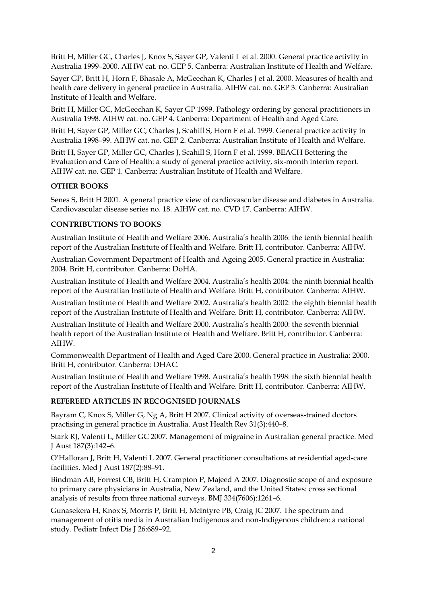Britt H, Miller GC, Charles J, Knox S, Sayer GP, Valenti L et al. 2000. General practice activity in Australia 1999–2000. AIHW cat. no. GEP 5. Canberra: Australian Institute of Health and Welfare.

Sayer GP, Britt H, Horn F, Bhasale A, McGeechan K, Charles J et al. 2000. Measures of health and health care delivery in general practice in Australia. AIHW cat. no. GEP 3. Canberra: Australian Institute of Health and Welfare.

Britt H, Miller GC, McGeechan K, Sayer GP 1999. Pathology ordering by general practitioners in Australia 1998. AIHW cat. no. GEP 4. Canberra: Department of Health and Aged Care.

Britt H, Sayer GP, Miller GC, Charles J, Scahill S, Horn F et al. 1999. General practice activity in Australia 1998–99. AIHW cat. no. GEP 2. Canberra: Australian Institute of Health and Welfare.

Britt H, Sayer GP, Miller GC, Charles J, Scahill S, Horn F et al. 1999. BEACH Bettering the Evaluation and Care of Health: a study of general practice activity, six-month interim report. AIHW cat. no. GEP 1. Canberra: Australian Institute of Health and Welfare.

### **OTHER BOOKS**

Senes S, Britt H 2001. A general practice view of cardiovascular disease and diabetes in Australia. Cardiovascular disease series no. 18. AIHW cat. no. CVD 17. Canberra: AIHW.

### **CONTRIBUTIONS TO BOOKS**

Australian Institute of Health and Welfare 2006. Australia's health 2006: the tenth biennial health report of the Australian Institute of Health and Welfare. Britt H, contributor. Canberra: AIHW.

Australian Government Department of Health and Ageing 2005. General practice in Australia: 2004. Britt H, contributor. Canberra: DoHA.

Australian Institute of Health and Welfare 2004. Australia's health 2004: the ninth biennial health report of the Australian Institute of Health and Welfare. Britt H, contributor. Canberra: AIHW.

Australian Institute of Health and Welfare 2002. Australia's health 2002: the eighth biennial health report of the Australian Institute of Health and Welfare. Britt H, contributor. Canberra: AIHW.

Australian Institute of Health and Welfare 2000. Australia's health 2000: the seventh biennial health report of the Australian Institute of Health and Welfare. Britt H, contributor. Canberra: AIHW.

Commonwealth Department of Health and Aged Care 2000. General practice in Australia: 2000. Britt H, contributor. Canberra: DHAC.

Australian Institute of Health and Welfare 1998. Australia's health 1998: the sixth biennial health report of the Australian Institute of Health and Welfare. Britt H, contributor. Canberra: AIHW.

#### **REFEREED ARTICLES IN RECOGNISED JOURNALS**

Bayram C, Knox S, Miller G, Ng A, Britt H 2007. Clinical activity of overseas-trained doctors practising in general practice in Australia. Aust Health Rev 31(3):440–8.

Stark RJ, Valenti L, Miller GC 2007. Management of migraine in Australian general practice. Med J Aust 187(3):142–6.

O'Halloran J, Britt H, Valenti L 2007. General practitioner consultations at residential aged-care facilities. Med J Aust 187(2):88–91.

Bindman AB, Forrest CB, Britt H, Crampton P, Majeed A 2007. Diagnostic scope of and exposure to primary care physicians in Australia, New Zealand, and the United States: cross sectional analysis of results from three national surveys. BMJ 334(7606):1261–6.

Gunasekera H, Knox S, Morris P, Britt H, McIntyre PB, Craig JC 2007. The spectrum and management of otitis media in Australian Indigenous and non-Indigenous children: a national study. Pediatr Infect Dis J 26:689–92.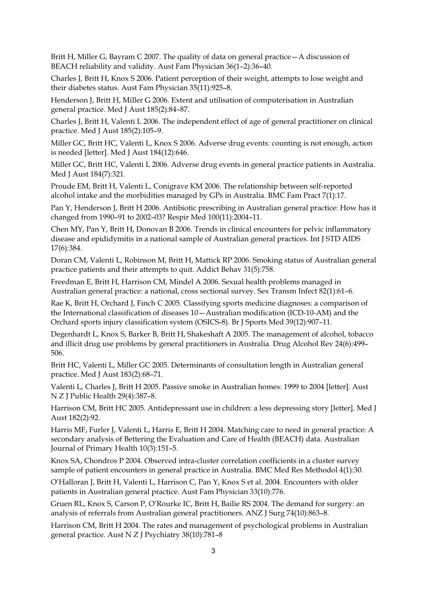Britt H, Miller G, Bayram C 2007. The quality of data on general practice—A discussion of BEACH reliability and validity. Aust Fam Physician 36(1–2):36–40.

Charles J, Britt H, Knox S 2006. Patient perception of their weight, attempts to lose weight and their diabetes status. Aust Fam Physician 35(11):925–8.

Henderson J, Britt H, Miller G 2006. Extent and utilisation of computerisation in Australian general practice. Med J Aust 185(2):84–87.

Charles J, Britt H, Valenti L 2006. The independent effect of age of general practitioner on clinical practice. Med J Aust 185(2):105–9.

Miller GC, Britt HC, Valenti L, Knox S 2006. Adverse drug events: counting is not enough, action is needed [letter]. Med J Aust 184(12):646.

Miller GC, Britt HC, Valenti L 2006. Adverse drug events in general practice patients in Australia. Med J Aust 184(7):321.

Proude EM, Britt H, Valenti L, Conigrave KM 2006. The relationship between self-reported alcohol intake and the morbidities managed by GPs in Australia. BMC Fam Pract 7(1):17.

Pan Y, Henderson J, Britt H 2006. Antibiotic prescribing in Australian general practice: How has it changed from 1990–91 to 2002–03? Respir Med 100(11):2004–11.

Chen MY, Pan Y, Britt H, Donovan B 2006. Trends in clinical encounters for pelvic inflammatory disease and epididymitis in a national sample of Australian general practices. Int J STD AIDS 17(6):384.

Doran CM, Valenti L, Robinson M, Britt H, Mattick RP 2006. Smoking status of Australian general practice patients and their attempts to quit. Addict Behav 31(5):758.

Freedman E, Britt H, Harrison CM, Mindel A 2006. Sexual health problems managed in Australian general practice: a national, cross sectional survey. Sex Transm Infect 82(1):61–6.

Rae K, Britt H, Orchard J, Finch C 2005. Classifying sports medicine diagnoses: a comparison of the International classification of diseases 10—Australian modification (ICD-10-AM) and the Orchard sports injury classification system (OSICS-8). Br J Sports Med 39(12):907–11.

Degenhardt L, Knox S, Barker B, Britt H, Shakeshaft A 2005. The management of alcohol, tobacco and illicit drug use problems by general practitioners in Australia. Drug Alcohol Rev 24(6):499– 506.

Britt HC, Valenti L, Miller GC 2005. Determinants of consultation length in Australian general practice. Med J Aust 183(2):68–71.

Valenti L, Charles J, Britt H 2005. Passive smoke in Australian homes: 1999 to 2004 [letter]. Aust N Z J Public Health 29(4):387–8.

Harrison CM, Britt HC 2005. Antidepressant use in children: a less depressing story [letter]. Med J Aust 182(2):92.

Harris MF, Furler J, Valenti L, Harris E, Britt H 2004. Matching care to need in general practice: A secondary analysis of Bettering the Evaluation and Care of Health (BEACH) data. Australian Journal of Primary Health 10(3):151–5.

Knox SA, Chondros P 2004. Observed intra-cluster correlation coefficients in a cluster survey sample of patient encounters in general practice in Australia. BMC Med Res Methodol 4(1):30.

O'Halloran J, Britt H, Valenti L, Harrison C, Pan Y, Knox S et al. 2004. Encounters with older patients in Australian general practice. Aust Fam Physician 33(10):776.

Gruen RL, Knox S, Carson P, O'Rourke IC, Britt H, Bailie RS 2004. The demand for surgery: an analysis of referrals from Australian general practitioners. ANZ J Surg 74(10):863–8.

Harrison CM, Britt H 2004. The rates and management of psychological problems in Australian general practice. Aust N Z J Psychiatry 38(10):781–8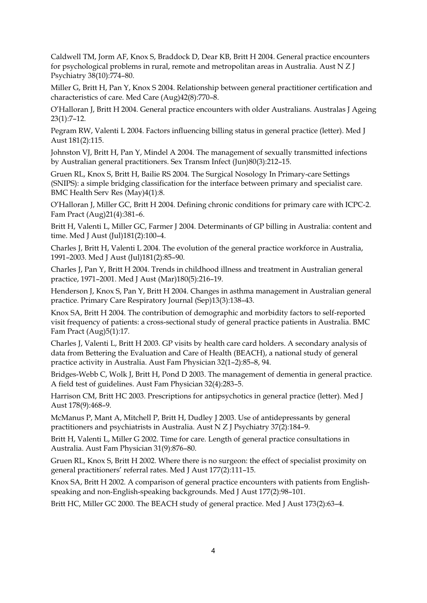Caldwell TM, Jorm AF, Knox S, Braddock D, Dear KB, Britt H 2004. General practice encounters for psychological problems in rural, remote and metropolitan areas in Australia. Aust N Z J Psychiatry 38(10):774–80.

Miller G, Britt H, Pan Y, Knox S 2004. Relationship between general practitioner certification and characteristics of care. Med Care (Aug)42(8):770–8.

O'Halloran J, Britt H 2004. General practice encounters with older Australians. Australas J Ageing 23(1):7–12.

Pegram RW, Valenti L 2004. Factors influencing billing status in general practice (letter). Med J Aust 181(2):115.

Johnston VJ, Britt H, Pan Y, Mindel A 2004. The management of sexually transmitted infections by Australian general practitioners. Sex Transm Infect (Jun)80(3):212–15.

Gruen RL, Knox S, Britt H, Bailie RS 2004. The Surgical Nosology In Primary-care Settings (SNIPS): a simple bridging classification for the interface between primary and specialist care. BMC Health Serv Res (May)4(1):8.

O'Halloran J, Miller GC, Britt H 2004. Defining chronic conditions for primary care with ICPC-2. Fam Pract (Aug)21(4):381–6.

Britt H, Valenti L, Miller GC, Farmer J 2004. Determinants of GP billing in Australia: content and time. Med J Aust (Jul)181(2):100-4.

Charles J, Britt H, Valenti L 2004. The evolution of the general practice workforce in Australia, 1991–2003. Med J Aust (Jul)181(2):85–90.

Charles J, Pan Y, Britt H 2004. Trends in childhood illness and treatment in Australian general practice, 1971–2001. Med J Aust (Mar)180(5):216–19.

Henderson J, Knox S, Pan Y, Britt H 2004. Changes in asthma management in Australian general practice. Primary Care Respiratory Journal (Sep)13(3):138–43.

Knox SA, Britt H 2004. The contribution of demographic and morbidity factors to self-reported visit frequency of patients: a cross-sectional study of general practice patients in Australia. BMC Fam Pract (Aug)5(1):17.

Charles J, Valenti L, Britt H 2003. GP visits by health care card holders. A secondary analysis of data from Bettering the Evaluation and Care of Health (BEACH), a national study of general practice activity in Australia. Aust Fam Physician 32(1–2):85–8, 94.

Bridges-Webb C, Wolk J, Britt H, Pond D 2003. The management of dementia in general practice. A field test of guidelines. Aust Fam Physician 32(4):283–5.

Harrison CM, Britt HC 2003. Prescriptions for antipsychotics in general practice (letter). Med J Aust 178(9):468–9.

McManus P, Mant A, Mitchell P, Britt H, Dudley J 2003. Use of antidepressants by general practitioners and psychiatrists in Australia. Aust N Z J Psychiatry 37(2):184–9.

Britt H, Valenti L, Miller G 2002. Time for care. Length of general practice consultations in Australia. Aust Fam Physician 31(9):876–80.

Gruen RL, Knox S, Britt H 2002. Where there is no surgeon: the effect of specialist proximity on general practitioners' referral rates. Med J Aust 177(2):111–15.

Knox SA, Britt H 2002. A comparison of general practice encounters with patients from Englishspeaking and non-English-speaking backgrounds. Med J Aust 177(2):98–101.

Britt HC, Miller GC 2000. The BEACH study of general practice. Med J Aust 173(2):63–4.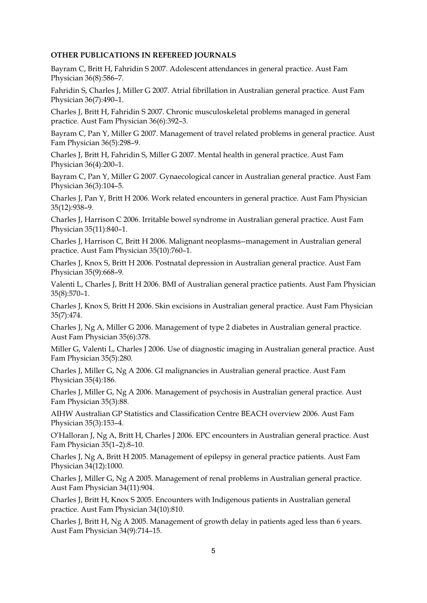### **OTHER PUBLICATIONS IN REFEREED JOURNALS**

Bayram C, Britt H, Fahridin S 2007. Adolescent attendances in general practice. Aust Fam Physician 36(8):586–7.

Fahridin S, Charles J, Miller G 2007. Atrial fibrillation in Australian general practice. Aust Fam Physician 36(7):490–1.

Charles J, Britt H, Fahridin S 2007. Chronic musculoskeletal problems managed in general practice. Aust Fam Physician 36(6):392–3.

Bayram C, Pan Y, Miller G 2007. Management of travel related problems in general practice. Aust Fam Physician 36(5):298–9.

Charles J, Britt H, Fahridin S, Miller G 2007. Mental health in general practice. Aust Fam Physician 36(4):200–1.

Bayram C, Pan Y, Miller G 2007. Gynaecological cancer in Australian general practice. Aust Fam Physician 36(3):104–5.

Charles J, Pan Y, Britt H 2006. Work related encounters in general practice. Aust Fam Physician 35(12):938–9.

Charles J, Harrison C 2006. Irritable bowel syndrome in Australian general practice. Aust Fam Physician 35(11):840–1.

Charles J, Harrison C, Britt H 2006. Malignant neoplasms--management in Australian general practice. Aust Fam Physician 35(10):760–1.

Charles J, Knox S, Britt H 2006. Postnatal depression in Australian general practice. Aust Fam Physician 35(9):668–9.

Valenti L, Charles J, Britt H 2006. BMI of Australian general practice patients. Aust Fam Physician 35(8):570–1.

Charles J, Knox S, Britt H 2006. Skin excisions in Australian general practice. Aust Fam Physician 35(7):474.

Charles J, Ng A, Miller G 2006. Management of type 2 diabetes in Australian general practice. Aust Fam Physician 35(6):378.

Miller G, Valenti L, Charles J 2006. Use of diagnostic imaging in Australian general practice. Aust Fam Physician 35(5):280.

Charles J, Miller G, Ng A 2006. GI malignancies in Australian general practice. Aust Fam Physician 35(4):186.

Charles J, Miller G, Ng A 2006. Management of psychosis in Australian general practice. Aust Fam Physician 35(3):88.

AIHW Australian GP Statistics and Classification Centre BEACH overview 2006. Aust Fam Physician 35(3):153–4.

O'Halloran J, Ng A, Britt H, Charles J 2006. EPC encounters in Australian general practice. Aust Fam Physician 35(1–2):8–10.

Charles J, Ng A, Britt H 2005. Management of epilepsy in general practice patients. Aust Fam Physician 34(12):1000.

Charles J, Miller G, Ng A 2005. Management of renal problems in Australian general practice. Aust Fam Physician 34(11):904.

Charles J, Britt H, Knox S 2005. Encounters with Indigenous patients in Australian general practice. Aust Fam Physician 34(10):810.

Charles J, Britt H, Ng A 2005. Management of growth delay in patients aged less than 6 years. Aust Fam Physician 34(9):714–15.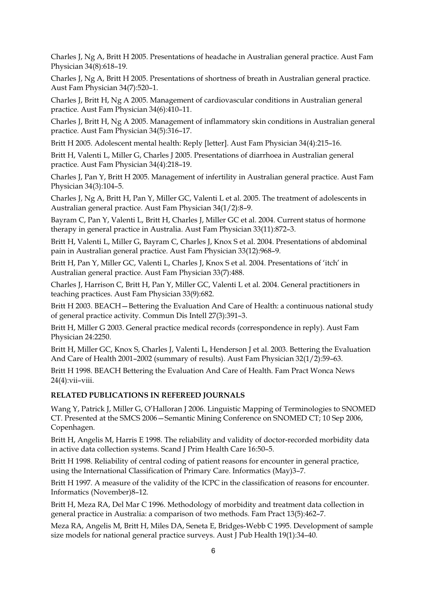Charles J, Ng A, Britt H 2005. Presentations of headache in Australian general practice. Aust Fam Physician 34(8):618–19.

Charles J, Ng A, Britt H 2005. Presentations of shortness of breath in Australian general practice. Aust Fam Physician 34(7):520–1.

Charles J, Britt H, Ng A 2005. Management of cardiovascular conditions in Australian general practice. Aust Fam Physician 34(6):410–11.

Charles J, Britt H, Ng A 2005. Management of inflammatory skin conditions in Australian general practice. Aust Fam Physician 34(5):316–17.

Britt H 2005. Adolescent mental health: Reply [letter]. Aust Fam Physician 34(4):215–16.

Britt H, Valenti L, Miller G, Charles J 2005. Presentations of diarrhoea in Australian general practice. Aust Fam Physician 34(4):218–19.

Charles J, Pan Y, Britt H 2005. Management of infertility in Australian general practice. Aust Fam Physician 34(3):104–5.

Charles J, Ng A, Britt H, Pan Y, Miller GC, Valenti L et al. 2005. The treatment of adolescents in Australian general practice. Aust Fam Physician 34(1/2):8–9.

Bayram C, Pan Y, Valenti L, Britt H, Charles J, Miller GC et al. 2004. Current status of hormone therapy in general practice in Australia. Aust Fam Physician 33(11):872–3.

Britt H, Valenti L, Miller G, Bayram C, Charles J, Knox S et al. 2004. Presentations of abdominal pain in Australian general practice. Aust Fam Physician 33(12):968–9.

Britt H, Pan Y, Miller GC, Valenti L, Charles J, Knox S et al. 2004. Presentations of 'itch' in Australian general practice. Aust Fam Physician 33(7):488.

Charles J, Harrison C, Britt H, Pan Y, Miller GC, Valenti L et al. 2004. General practitioners in teaching practices. Aust Fam Physician 33(9):682.

Britt H 2003. BEACH—Bettering the Evaluation And Care of Health: a continuous national study of general practice activity. Commun Dis Intell 27(3):391–3.

Britt H, Miller G 2003. General practice medical records (correspondence in reply). Aust Fam Physician 24:2250.

Britt H, Miller GC, Knox S, Charles J, Valenti L, Henderson J et al. 2003. Bettering the Evaluation And Care of Health 2001–2002 (summary of results). Aust Fam Physician 32(1/2):59–63.

Britt H 1998. BEACH Bettering the Evaluation And Care of Health. Fam Pract Wonca News 24(4):vii–viii.

### **RELATED PUBLICATIONS IN REFEREED JOURNALS**

Wang Y, Patrick J, Miller G, O'Halloran J 2006. Linguistic Mapping of Terminologies to SNOMED CT. Presented at the SMCS 2006—Semantic Mining Conference on SNOMED CT; 10 Sep 2006, Copenhagen.

Britt H, Angelis M, Harris E 1998. The reliability and validity of doctor-recorded morbidity data in active data collection systems. Scand J Prim Health Care 16:50–5.

Britt H 1998. Reliability of central coding of patient reasons for encounter in general practice, using the International Classification of Primary Care. Informatics (May)3–7.

Britt H 1997. A measure of the validity of the ICPC in the classification of reasons for encounter. Informatics (November)8–12.

Britt H, Meza RA, Del Mar C 1996. Methodology of morbidity and treatment data collection in general practice in Australia: a comparison of two methods. Fam Pract 13(5):462–7.

Meza RA, Angelis M, Britt H, Miles DA, Seneta E, Bridges-Webb C 1995. Development of sample size models for national general practice surveys. Aust J Pub Health 19(1):34–40.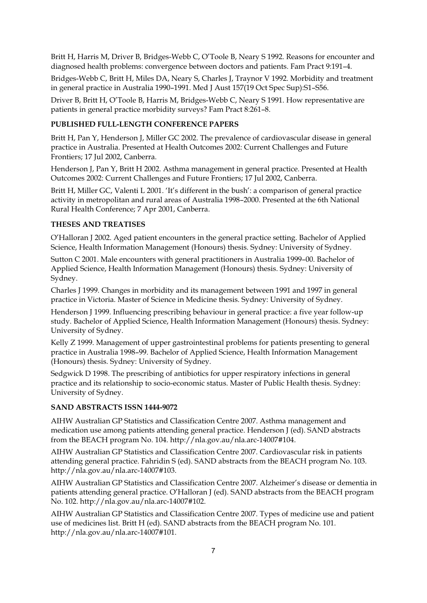Britt H, Harris M, Driver B, Bridges-Webb C, O'Toole B, Neary S 1992. Reasons for encounter and diagnosed health problems: convergence between doctors and patients. Fam Pract 9:191–4.

Bridges-Webb C, Britt H, Miles DA, Neary S, Charles J, Traynor V 1992. Morbidity and treatment in general practice in Australia 1990–1991. Med J Aust 157(19 Oct Spec Sup):S1–S56.

Driver B, Britt H, O'Toole B, Harris M, Bridges-Webb C, Neary S 1991. How representative are patients in general practice morbidity surveys? Fam Pract 8:261–8.

### **PUBLISHED FULL-LENGTH CONFERENCE PAPERS**

Britt H, Pan Y, Henderson J, Miller GC 2002. The prevalence of cardiovascular disease in general practice in Australia. Presented at Health Outcomes 2002: Current Challenges and Future Frontiers; 17 Jul 2002, Canberra.

Henderson J, Pan Y, Britt H 2002. Asthma management in general practice. Presented at Health Outcomes 2002: Current Challenges and Future Frontiers; 17 Jul 2002, Canberra.

Britt H, Miller GC, Valenti L 2001. 'It's different in the bush': a comparison of general practice activity in metropolitan and rural areas of Australia 1998–2000. Presented at the 6th National Rural Health Conference; 7 Apr 2001, Canberra.

### **THESES AND TREATISES**

O'Halloran J 2002. Aged patient encounters in the general practice setting. Bachelor of Applied Science, Health Information Management (Honours) thesis. Sydney: University of Sydney.

Sutton C 2001. Male encounters with general practitioners in Australia 1999–00. Bachelor of Applied Science, Health Information Management (Honours) thesis. Sydney: University of Sydney.

Charles J 1999. Changes in morbidity and its management between 1991 and 1997 in general practice in Victoria. Master of Science in Medicine thesis. Sydney: University of Sydney.

Henderson J 1999. Influencing prescribing behaviour in general practice: a five year follow-up study. Bachelor of Applied Science, Health Information Management (Honours) thesis. Sydney: University of Sydney.

Kelly Z 1999. Management of upper gastrointestinal problems for patients presenting to general practice in Australia 1998–99. Bachelor of Applied Science, Health Information Management (Honours) thesis. Sydney: University of Sydney.

Sedgwick D 1998. The prescribing of antibiotics for upper respiratory infections in general practice and its relationship to socio-economic status. Master of Public Health thesis. Sydney: University of Sydney.

#### **SAND ABSTRACTS ISSN 1444-9072**

AIHW Australian GP Statistics and Classification Centre 2007. Asthma management and medication use among patients attending general practice. Henderson J (ed). SAND abstracts from the BEACH program No. 104. http://nla.gov.au/nla.arc-14007#104.

AIHW Australian GP Statistics and Classification Centre 2007. Cardiovascular risk in patients attending general practice. Fahridin S (ed). SAND abstracts from the BEACH program No. 103. http://nla.gov.au/nla.arc-14007#103.

AIHW Australian GP Statistics and Classification Centre 2007. Alzheimer's disease or dementia in patients attending general practice. O'Halloran J (ed). SAND abstracts from the BEACH program No. 102. http://nla.gov.au/nla.arc-14007#102.

AIHW Australian GP Statistics and Classification Centre 2007. Types of medicine use and patient use of medicines list. Britt H (ed). SAND abstracts from the BEACH program No. 101. http://nla.gov.au/nla.arc-14007#101.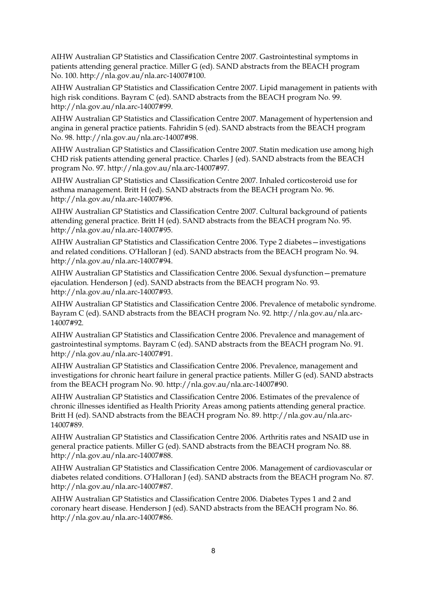AIHW Australian GP Statistics and Classification Centre 2007. Gastrointestinal symptoms in patients attending general practice. Miller G (ed). SAND abstracts from the BEACH program No. 100. http://nla.gov.au/nla.arc-14007#100.

AIHW Australian GP Statistics and Classification Centre 2007. Lipid management in patients with high risk conditions. Bayram C (ed). SAND abstracts from the BEACH program No. 99. http://nla.gov.au/nla.arc-14007#99.

AIHW Australian GP Statistics and Classification Centre 2007. Management of hypertension and angina in general practice patients. Fahridin S (ed). SAND abstracts from the BEACH program No. 98. http://nla.gov.au/nla.arc-14007#98.

AIHW Australian GP Statistics and Classification Centre 2007. Statin medication use among high CHD risk patients attending general practice. Charles J (ed). SAND abstracts from the BEACH program No. 97. http://nla.gov.au/nla.arc-14007#97.

AIHW Australian GP Statistics and Classification Centre 2007. Inhaled corticosteroid use for asthma management. Britt H (ed). SAND abstracts from the BEACH program No. 96. http://nla.gov.au/nla.arc-14007#96.

AIHW Australian GP Statistics and Classification Centre 2007. Cultural background of patients attending general practice. Britt H (ed). SAND abstracts from the BEACH program No. 95. http://nla.gov.au/nla.arc-14007#95.

AIHW Australian GP Statistics and Classification Centre 2006. Type 2 diabetes—investigations and related conditions. O'Halloran J (ed). SAND abstracts from the BEACH program No. 94. http://nla.gov.au/nla.arc-14007#94.

AIHW Australian GP Statistics and Classification Centre 2006. Sexual dysfunction—premature ejaculation. Henderson J (ed). SAND abstracts from the BEACH program No. 93. http://nla.gov.au/nla.arc-14007#93.

AIHW Australian GP Statistics and Classification Centre 2006. Prevalence of metabolic syndrome. Bayram C (ed). SAND abstracts from the BEACH program No. 92. http://nla.gov.au/nla.arc-14007#92.

AIHW Australian GP Statistics and Classification Centre 2006. Prevalence and management of gastrointestinal symptoms. Bayram C (ed). SAND abstracts from the BEACH program No. 91. http://nla.gov.au/nla.arc-14007#91.

AIHW Australian GP Statistics and Classification Centre 2006. Prevalence, management and investigations for chronic heart failure in general practice patients. Miller G (ed). SAND abstracts from the BEACH program No. 90. http://nla.gov.au/nla.arc-14007#90.

AIHW Australian GP Statistics and Classification Centre 2006. Estimates of the prevalence of chronic illnesses identified as Health Priority Areas among patients attending general practice. Britt H (ed). SAND abstracts from the BEACH program No. 89. http://nla.gov.au/nla.arc-14007#89.

AIHW Australian GP Statistics and Classification Centre 2006. Arthritis rates and NSAID use in general practice patients. Miller G (ed). SAND abstracts from the BEACH program No. 88. http://nla.gov.au/nla.arc-14007#88.

AIHW Australian GP Statistics and Classification Centre 2006. Management of cardiovascular or diabetes related conditions. O'Halloran J (ed). SAND abstracts from the BEACH program No. 87. http://nla.gov.au/nla.arc-14007#87.

AIHW Australian GP Statistics and Classification Centre 2006. Diabetes Types 1 and 2 and coronary heart disease. Henderson J (ed). SAND abstracts from the BEACH program No. 86. http://nla.gov.au/nla.arc-14007#86.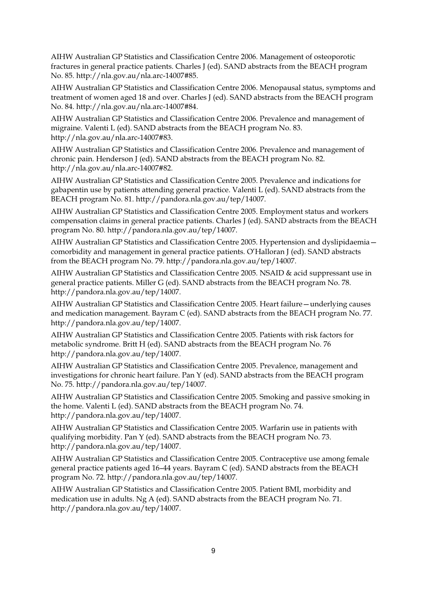AIHW Australian GP Statistics and Classification Centre 2006. Management of osteoporotic fractures in general practice patients. Charles J (ed). SAND abstracts from the BEACH program No. 85. http://nla.gov.au/nla.arc-14007#85.

AIHW Australian GP Statistics and Classification Centre 2006. Menopausal status, symptoms and treatment of women aged 18 and over. Charles J (ed). SAND abstracts from the BEACH program No. 84. http://nla.gov.au/nla.arc-14007#84.

AIHW Australian GP Statistics and Classification Centre 2006. Prevalence and management of migraine. Valenti L (ed). SAND abstracts from the BEACH program No. 83. http://nla.gov.au/nla.arc-14007#83.

AIHW Australian GP Statistics and Classification Centre 2006. Prevalence and management of chronic pain. Henderson J (ed). SAND abstracts from the BEACH program No. 82. http://nla.gov.au/nla.arc-14007#82.

AIHW Australian GP Statistics and Classification Centre 2005. Prevalence and indications for gabapentin use by patients attending general practice. Valenti L (ed). SAND abstracts from the BEACH program No. 81. http://pandora.nla.gov.au/tep/14007.

AIHW Australian GP Statistics and Classification Centre 2005. Employment status and workers compensation claims in general practice patients. Charles J (ed). SAND abstracts from the BEACH program No. 80. http://pandora.nla.gov.au/tep/14007.

AIHW Australian GP Statistics and Classification Centre 2005. Hypertension and dyslipidaemia comorbidity and management in general practice patients. O'Halloran J (ed). SAND abstracts from the BEACH program No. 79. http://pandora.nla.gov.au/tep/14007.

AIHW Australian GP Statistics and Classification Centre 2005. NSAID & acid suppressant use in general practice patients. Miller G (ed). SAND abstracts from the BEACH program No. 78. http://pandora.nla.gov.au/tep/14007.

AIHW Australian GP Statistics and Classification Centre 2005. Heart failure—underlying causes and medication management. Bayram C (ed). SAND abstracts from the BEACH program No. 77. http://pandora.nla.gov.au/tep/14007.

AIHW Australian GP Statistics and Classification Centre 2005. Patients with risk factors for metabolic syndrome. Britt H (ed). SAND abstracts from the BEACH program No. 76 http://pandora.nla.gov.au/tep/14007.

AIHW Australian GP Statistics and Classification Centre 2005. Prevalence, management and investigations for chronic heart failure. Pan Y (ed). SAND abstracts from the BEACH program No. 75. http://pandora.nla.gov.au/tep/14007.

AIHW Australian GP Statistics and Classification Centre 2005. Smoking and passive smoking in the home. Valenti L (ed). SAND abstracts from the BEACH program No. 74. http://pandora.nla.gov.au/tep/14007.

AIHW Australian GP Statistics and Classification Centre 2005. Warfarin use in patients with qualifying morbidity. Pan Y (ed). SAND abstracts from the BEACH program No. 73. http://pandora.nla.gov.au/tep/14007.

AIHW Australian GP Statistics and Classification Centre 2005. Contraceptive use among female general practice patients aged 16–44 years. Bayram C (ed). SAND abstracts from the BEACH program No. 72. http://pandora.nla.gov.au/tep/14007.

AIHW Australian GP Statistics and Classification Centre 2005. Patient BMI, morbidity and medication use in adults. Ng A (ed). SAND abstracts from the BEACH program No. 71. http://pandora.nla.gov.au/tep/14007.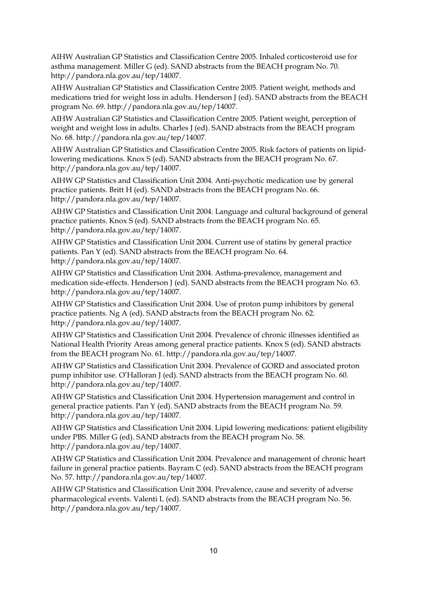AIHW Australian GP Statistics and Classification Centre 2005. Inhaled corticosteroid use for asthma management. Miller G (ed). SAND abstracts from the BEACH program No. 70. http://pandora.nla.gov.au/tep/14007.

AIHW Australian GP Statistics and Classification Centre 2005. Patient weight, methods and medications tried for weight loss in adults. Henderson J (ed). SAND abstracts from the BEACH program No. 69. http://pandora.nla.gov.au/tep/14007.

AIHW Australian GP Statistics and Classification Centre 2005. Patient weight, perception of weight and weight loss in adults. Charles J (ed). SAND abstracts from the BEACH program No. 68. http://pandora.nla.gov.au/tep/14007.

AIHW Australian GP Statistics and Classification Centre 2005. Risk factors of patients on lipidlowering medications. Knox S (ed). SAND abstracts from the BEACH program No. 67. http://pandora.nla.gov.au/tep/14007.

AIHW GP Statistics and Classification Unit 2004. Anti-psychotic medication use by general practice patients. Britt H (ed). SAND abstracts from the BEACH program No. 66. http://pandora.nla.gov.au/tep/14007.

AIHW GP Statistics and Classification Unit 2004. Language and cultural background of general practice patients. Knox S (ed). SAND abstracts from the BEACH program No. 65. http://pandora.nla.gov.au/tep/14007.

AIHW GP Statistics and Classification Unit 2004. Current use of statins by general practice patients. Pan Y (ed). SAND abstracts from the BEACH program No. 64. http://pandora.nla.gov.au/tep/14007.

AIHW GP Statistics and Classification Unit 2004. Asthma-prevalence, management and medication side-effects. Henderson J (ed). SAND abstracts from the BEACH program No. 63. http://pandora.nla.gov.au/tep/14007.

AIHW GP Statistics and Classification Unit 2004. Use of proton pump inhibitors by general practice patients. Ng A (ed). SAND abstracts from the BEACH program No. 62. http://pandora.nla.gov.au/tep/14007.

AIHW GP Statistics and Classification Unit 2004. Prevalence of chronic illnesses identified as National Health Priority Areas among general practice patients. Knox S (ed). SAND abstracts from the BEACH program No. 61. http://pandora.nla.gov.au/tep/14007.

AIHW GP Statistics and Classification Unit 2004. Prevalence of GORD and associated proton pump inhibitor use. O'Halloran J (ed). SAND abstracts from the BEACH program No. 60. http://pandora.nla.gov.au/tep/14007.

AIHW GP Statistics and Classification Unit 2004. Hypertension management and control in general practice patients. Pan Y (ed). SAND abstracts from the BEACH program No. 59. http://pandora.nla.gov.au/tep/14007.

AIHW GP Statistics and Classification Unit 2004. Lipid lowering medications: patient eligibility under PBS. Miller G (ed). SAND abstracts from the BEACH program No. 58. http://pandora.nla.gov.au/tep/14007.

AIHW GP Statistics and Classification Unit 2004. Prevalence and management of chronic heart failure in general practice patients. Bayram C (ed). SAND abstracts from the BEACH program No. 57. http://pandora.nla.gov.au/tep/14007.

AIHW GP Statistics and Classification Unit 2004. Prevalence, cause and severity of adverse pharmacological events. Valenti L (ed). SAND abstracts from the BEACH program No. 56. http://pandora.nla.gov.au/tep/14007.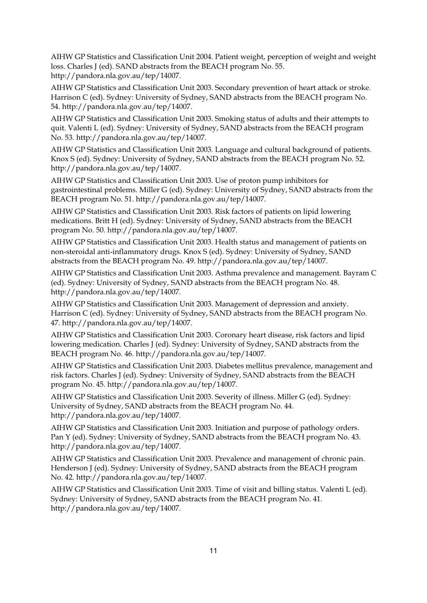AIHW GP Statistics and Classification Unit 2004. Patient weight, perception of weight and weight loss. Charles J (ed). SAND abstracts from the BEACH program No. 55. http://pandora.nla.gov.au/tep/14007.

AIHW GP Statistics and Classification Unit 2003. Secondary prevention of heart attack or stroke. Harrison C (ed). Sydney: University of Sydney, SAND abstracts from the BEACH program No. 54. http://pandora.nla.gov.au/tep/14007.

AIHW GP Statistics and Classification Unit 2003. Smoking status of adults and their attempts to quit. Valenti L (ed). Sydney: University of Sydney, SAND abstracts from the BEACH program No. 53. http://pandora.nla.gov.au/tep/14007.

AIHW GP Statistics and Classification Unit 2003. Language and cultural background of patients. Knox S (ed). Sydney: University of Sydney, SAND abstracts from the BEACH program No. 52. http://pandora.nla.gov.au/tep/14007.

AIHW GP Statistics and Classification Unit 2003. Use of proton pump inhibitors for gastrointestinal problems. Miller G (ed). Sydney: University of Sydney, SAND abstracts from the BEACH program No. 51. http://pandora.nla.gov.au/tep/14007.

AIHW GP Statistics and Classification Unit 2003. Risk factors of patients on lipid lowering medications. Britt H (ed). Sydney: University of Sydney, SAND abstracts from the BEACH program No. 50. http://pandora.nla.gov.au/tep/14007.

AIHW GP Statistics and Classification Unit 2003. Health status and management of patients on non-steroidal anti-inflammatory drugs. Knox S (ed). Sydney: University of Sydney, SAND abstracts from the BEACH program No. 49. http://pandora.nla.gov.au/tep/14007.

AIHW GP Statistics and Classification Unit 2003. Asthma prevalence and management. Bayram C (ed). Sydney: University of Sydney, SAND abstracts from the BEACH program No. 48. http://pandora.nla.gov.au/tep/14007.

AIHW GP Statistics and Classification Unit 2003. Management of depression and anxiety. Harrison C (ed). Sydney: University of Sydney, SAND abstracts from the BEACH program No. 47. http://pandora.nla.gov.au/tep/14007.

AIHW GP Statistics and Classification Unit 2003. Coronary heart disease, risk factors and lipid lowering medication. Charles J (ed). Sydney: University of Sydney, SAND abstracts from the BEACH program No. 46. http://pandora.nla.gov.au/tep/14007.

AIHW GP Statistics and Classification Unit 2003. Diabetes mellitus prevalence, management and risk factors. Charles J (ed). Sydney: University of Sydney, SAND abstracts from the BEACH program No. 45. http://pandora.nla.gov.au/tep/14007.

AIHW GP Statistics and Classification Unit 2003. Severity of illness. Miller G (ed). Sydney: University of Sydney, SAND abstracts from the BEACH program No. 44. http://pandora.nla.gov.au/tep/14007.

AIHW GP Statistics and Classification Unit 2003. Initiation and purpose of pathology orders. Pan Y (ed). Sydney: University of Sydney, SAND abstracts from the BEACH program No. 43. http://pandora.nla.gov.au/tep/14007.

AIHW GP Statistics and Classification Unit 2003. Prevalence and management of chronic pain. Henderson J (ed). Sydney: University of Sydney, SAND abstracts from the BEACH program No. 42. http://pandora.nla.gov.au/tep/14007.

AIHW GP Statistics and Classification Unit 2003. Time of visit and billing status. Valenti L (ed). Sydney: University of Sydney, SAND abstracts from the BEACH program No. 41. http://pandora.nla.gov.au/tep/14007.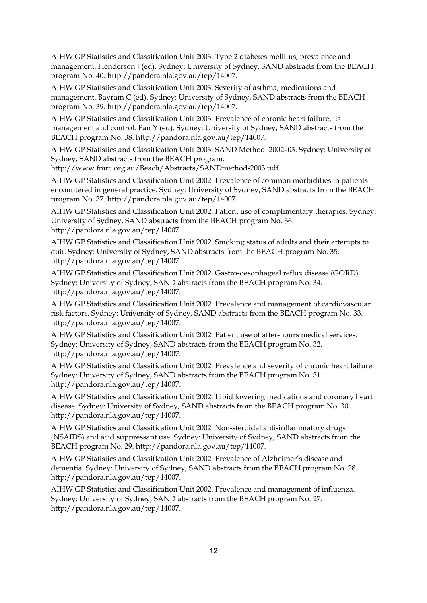AIHW GP Statistics and Classification Unit 2003. Type 2 diabetes mellitus, prevalence and management. Henderson J (ed). Sydney: University of Sydney, SAND abstracts from the BEACH program No. 40. http://pandora.nla.gov.au/tep/14007.

AIHW GP Statistics and Classification Unit 2003. Severity of asthma, medications and management. Bayram C (ed). Sydney: University of Sydney, SAND abstracts from the BEACH program No. 39. http://pandora.nla.gov.au/tep/14007.

AIHW GP Statistics and Classification Unit 2003. Prevalence of chronic heart failure, its management and control. Pan Y (ed). Sydney: University of Sydney, SAND abstracts from the BEACH program No. 38. http://pandora.nla.gov.au/tep/14007.

AIHW GP Statistics and Classification Unit 2003. SAND Method: 2002–03. Sydney: University of Sydney, SAND abstracts from the BEACH program.

http://www.fmrc.org.au/Beach/Abstracts/SANDmethod-2003.pdf.

AIHW GP Statistics and Classification Unit 2002. Prevalence of common morbidities in patients encountered in general practice. Sydney: University of Sydney, SAND abstracts from the BEACH program No. 37. http://pandora.nla.gov.au/tep/14007.

AIHW GP Statistics and Classification Unit 2002. Patient use of complimentary therapies. Sydney: University of Sydney, SAND abstracts from the BEACH program No. 36. http://pandora.nla.gov.au/tep/14007.

AIHW GP Statistics and Classification Unit 2002. Smoking status of adults and their attempts to quit. Sydney: University of Sydney, SAND abstracts from the BEACH program No. 35. http://pandora.nla.gov.au/tep/14007.

AIHW GP Statistics and Classification Unit 2002. Gastro-oesophageal reflux disease (GORD). Sydney: University of Sydney, SAND abstracts from the BEACH program No. 34. http://pandora.nla.gov.au/tep/14007.

AIHW GP Statistics and Classification Unit 2002. Prevalence and management of cardiovascular risk factors. Sydney: University of Sydney, SAND abstracts from the BEACH program No. 33. http://pandora.nla.gov.au/tep/14007.

AIHW GP Statistics and Classification Unit 2002. Patient use of after-hours medical services. Sydney: University of Sydney, SAND abstracts from the BEACH program No. 32. http://pandora.nla.gov.au/tep/14007.

AIHW GP Statistics and Classification Unit 2002. Prevalence and severity of chronic heart failure. Sydney: University of Sydney, SAND abstracts from the BEACH program No. 31. http://pandora.nla.gov.au/tep/14007.

AIHW GP Statistics and Classification Unit 2002. Lipid lowering medications and coronary heart disease. Sydney: University of Sydney, SAND abstracts from the BEACH program No. 30. http://pandora.nla.gov.au/tep/14007.

AIHW GP Statistics and Classification Unit 2002. Non-steroidal anti-inflammatory drugs (NSAIDS) and acid suppressant use. Sydney: University of Sydney, SAND abstracts from the BEACH program No. 29. http://pandora.nla.gov.au/tep/14007.

AIHW GP Statistics and Classification Unit 2002. Prevalence of Alzheimer's disease and dementia. Sydney: University of Sydney, SAND abstracts from the BEACH program No. 28. http://pandora.nla.gov.au/tep/14007.

AIHW GP Statistics and Classification Unit 2002. Prevalence and management of influenza. Sydney: University of Sydney, SAND abstracts from the BEACH program No. 27. http://pandora.nla.gov.au/tep/14007.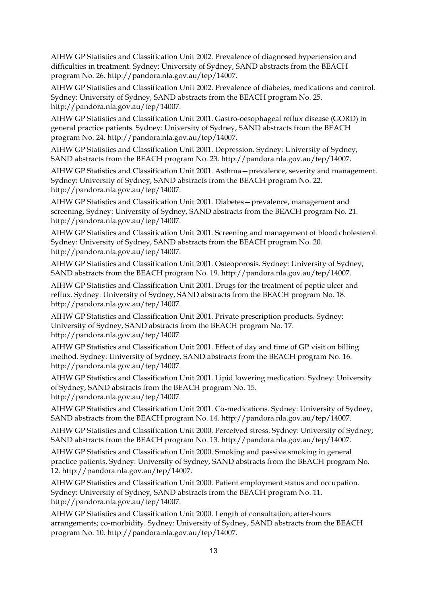AIHW GP Statistics and Classification Unit 2002. Prevalence of diagnosed hypertension and difficulties in treatment. Sydney: University of Sydney, SAND abstracts from the BEACH program No. 26. http://pandora.nla.gov.au/tep/14007.

AIHW GP Statistics and Classification Unit 2002. Prevalence of diabetes, medications and control. Sydney: University of Sydney, SAND abstracts from the BEACH program No. 25. http://pandora.nla.gov.au/tep/14007.

AIHW GP Statistics and Classification Unit 2001. Gastro-oesophageal reflux disease (GORD) in general practice patients. Sydney: University of Sydney, SAND abstracts from the BEACH program No. 24. http://pandora.nla.gov.au/tep/14007.

AIHW GP Statistics and Classification Unit 2001. Depression. Sydney: University of Sydney, SAND abstracts from the BEACH program No. 23. http://pandora.nla.gov.au/tep/14007.

AIHW GP Statistics and Classification Unit 2001. Asthma—prevalence, severity and management. Sydney: University of Sydney, SAND abstracts from the BEACH program No. 22. http://pandora.nla.gov.au/tep/14007.

AIHW GP Statistics and Classification Unit 2001. Diabetes—prevalence, management and screening. Sydney: University of Sydney, SAND abstracts from the BEACH program No. 21. http://pandora.nla.gov.au/tep/14007.

AIHW GP Statistics and Classification Unit 2001. Screening and management of blood cholesterol. Sydney: University of Sydney, SAND abstracts from the BEACH program No. 20. http://pandora.nla.gov.au/tep/14007.

AIHW GP Statistics and Classification Unit 2001. Osteoporosis. Sydney: University of Sydney, SAND abstracts from the BEACH program No. 19. http://pandora.nla.gov.au/tep/14007.

AIHW GP Statistics and Classification Unit 2001. Drugs for the treatment of peptic ulcer and reflux. Sydney: University of Sydney, SAND abstracts from the BEACH program No. 18. http://pandora.nla.gov.au/tep/14007.

AIHW GP Statistics and Classification Unit 2001. Private prescription products. Sydney: University of Sydney, SAND abstracts from the BEACH program No. 17. http://pandora.nla.gov.au/tep/14007.

AIHW GP Statistics and Classification Unit 2001. Effect of day and time of GP visit on billing method. Sydney: University of Sydney, SAND abstracts from the BEACH program No. 16. http://pandora.nla.gov.au/tep/14007.

AIHW GP Statistics and Classification Unit 2001. Lipid lowering medication. Sydney: University of Sydney, SAND abstracts from the BEACH program No. 15. http://pandora.nla.gov.au/tep/14007.

AIHW GP Statistics and Classification Unit 2001. Co-medications. Sydney: University of Sydney, SAND abstracts from the BEACH program No. 14. http://pandora.nla.gov.au/tep/14007.

AIHW GP Statistics and Classification Unit 2000. Perceived stress. Sydney: University of Sydney, SAND abstracts from the BEACH program No. 13. http://pandora.nla.gov.au/tep/14007.

AIHW GP Statistics and Classification Unit 2000. Smoking and passive smoking in general practice patients. Sydney: University of Sydney, SAND abstracts from the BEACH program No. 12. http://pandora.nla.gov.au/tep/14007.

AIHW GP Statistics and Classification Unit 2000. Patient employment status and occupation. Sydney: University of Sydney, SAND abstracts from the BEACH program No. 11. http://pandora.nla.gov.au/tep/14007.

AIHW GP Statistics and Classification Unit 2000. Length of consultation; after-hours arrangements; co-morbidity. Sydney: University of Sydney, SAND abstracts from the BEACH program No. 10. http://pandora.nla.gov.au/tep/14007.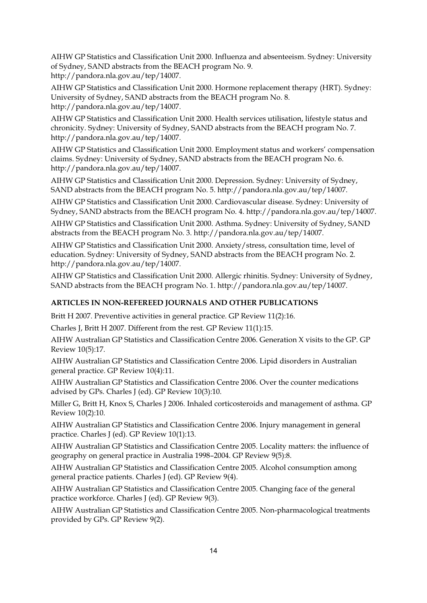AIHW GP Statistics and Classification Unit 2000. Influenza and absenteeism. Sydney: University of Sydney, SAND abstracts from the BEACH program No. 9. http://pandora.nla.gov.au/tep/14007.

AIHW GP Statistics and Classification Unit 2000. Hormone replacement therapy (HRT). Sydney: University of Sydney, SAND abstracts from the BEACH program No. 8. http://pandora.nla.gov.au/tep/14007.

AIHW GP Statistics and Classification Unit 2000. Health services utilisation, lifestyle status and chronicity. Sydney: University of Sydney, SAND abstracts from the BEACH program No. 7. http://pandora.nla.gov.au/tep/14007.

AIHW GP Statistics and Classification Unit 2000. Employment status and workers' compensation claims. Sydney: University of Sydney, SAND abstracts from the BEACH program No. 6. http://pandora.nla.gov.au/tep/14007.

AIHW GP Statistics and Classification Unit 2000. Depression. Sydney: University of Sydney, SAND abstracts from the BEACH program No. 5. http://pandora.nla.gov.au/tep/14007.

AIHW GP Statistics and Classification Unit 2000. Cardiovascular disease. Sydney: University of Sydney, SAND abstracts from the BEACH program No. 4. http://pandora.nla.gov.au/tep/14007.

AIHW GP Statistics and Classification Unit 2000. Asthma. Sydney: University of Sydney, SAND abstracts from the BEACH program No. 3. http://pandora.nla.gov.au/tep/14007.

AIHW GP Statistics and Classification Unit 2000. Anxiety/stress, consultation time, level of education. Sydney: University of Sydney, SAND abstracts from the BEACH program No. 2. http://pandora.nla.gov.au/tep/14007.

AIHW GP Statistics and Classification Unit 2000. Allergic rhinitis. Sydney: University of Sydney, SAND abstracts from the BEACH program No. 1. http://pandora.nla.gov.au/tep/14007.

### **ARTICLES IN NON-REFEREED JOURNALS AND OTHER PUBLICATIONS**

Britt H 2007. Preventive activities in general practice. GP Review 11(2):16.

Charles J, Britt H 2007. Different from the rest. GP Review 11(1):15.

AIHW Australian GP Statistics and Classification Centre 2006. Generation X visits to the GP. GP Review 10(5):17.

AIHW Australian GP Statistics and Classification Centre 2006. Lipid disorders in Australian general practice. GP Review 10(4):11.

AIHW Australian GP Statistics and Classification Centre 2006. Over the counter medications advised by GPs. Charles J (ed). GP Review 10(3):10.

Miller G, Britt H, Knox S, Charles J 2006. Inhaled corticosteroids and management of asthma. GP Review 10(2):10.

AIHW Australian GP Statistics and Classification Centre 2006. Injury management in general practice. Charles J (ed). GP Review 10(1):13.

AIHW Australian GP Statistics and Classification Centre 2005. Locality matters: the influence of geography on general practice in Australia 1998–2004. GP Review 9(5):8.

AIHW Australian GP Statistics and Classification Centre 2005. Alcohol consumption among general practice patients. Charles J (ed). GP Review 9(4).

AIHW Australian GP Statistics and Classification Centre 2005. Changing face of the general practice workforce. Charles J (ed). GP Review 9(3).

AIHW Australian GP Statistics and Classification Centre 2005. Non-pharmacological treatments provided by GPs. GP Review 9(2).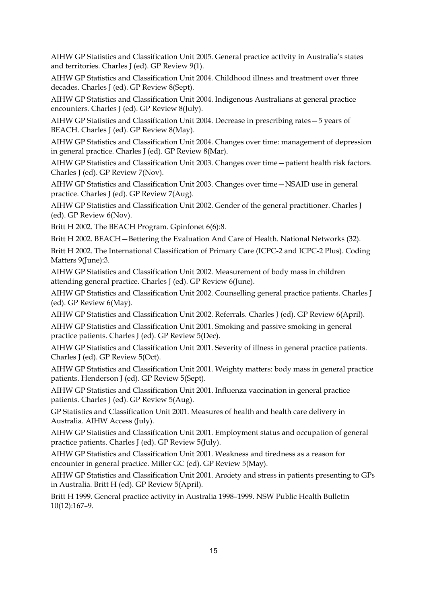AIHW GP Statistics and Classification Unit 2005. General practice activity in Australia's states and territories. Charles J (ed). GP Review 9(1).

AIHW GP Statistics and Classification Unit 2004. Childhood illness and treatment over three decades. Charles J (ed). GP Review 8(Sept).

AIHW GP Statistics and Classification Unit 2004. Indigenous Australians at general practice encounters. Charles J (ed). GP Review 8(July).

AIHW GP Statistics and Classification Unit 2004. Decrease in prescribing rates—5 years of BEACH. Charles J (ed). GP Review 8(May).

AIHW GP Statistics and Classification Unit 2004. Changes over time: management of depression in general practice. Charles J (ed). GP Review 8(Mar).

AIHW GP Statistics and Classification Unit 2003. Changes over time—patient health risk factors. Charles J (ed). GP Review 7(Nov).

AIHW GP Statistics and Classification Unit 2003. Changes over time—NSAID use in general practice. Charles J (ed). GP Review 7(Aug).

AIHW GP Statistics and Classification Unit 2002. Gender of the general practitioner. Charles J (ed). GP Review 6(Nov).

Britt H 2002. The BEACH Program. Gpinfonet 6(6):8.

Britt H 2002. BEACH—Bettering the Evaluation And Care of Health. National Networks (32).

Britt H 2002. The International Classification of Primary Care (ICPC-2 and ICPC-2 Plus). Coding Matters 9(June):3.

AIHW GP Statistics and Classification Unit 2002. Measurement of body mass in children attending general practice. Charles J (ed). GP Review 6(June).

AIHW GP Statistics and Classification Unit 2002. Counselling general practice patients. Charles J (ed). GP Review 6(May).

AIHW GP Statistics and Classification Unit 2002. Referrals. Charles J (ed). GP Review 6(April).

AIHW GP Statistics and Classification Unit 2001. Smoking and passive smoking in general practice patients. Charles J (ed). GP Review 5(Dec).

AIHW GP Statistics and Classification Unit 2001. Severity of illness in general practice patients. Charles J (ed). GP Review 5(Oct).

AIHW GP Statistics and Classification Unit 2001. Weighty matters: body mass in general practice patients. Henderson J (ed). GP Review 5(Sept).

AIHW GP Statistics and Classification Unit 2001. Influenza vaccination in general practice patients. Charles J (ed). GP Review 5(Aug).

GP Statistics and Classification Unit 2001. Measures of health and health care delivery in Australia. AIHW Access (July).

AIHW GP Statistics and Classification Unit 2001. Employment status and occupation of general practice patients. Charles J (ed). GP Review 5(July).

AIHW GP Statistics and Classification Unit 2001. Weakness and tiredness as a reason for encounter in general practice. Miller GC (ed). GP Review 5(May).

AIHW GP Statistics and Classification Unit 2001. Anxiety and stress in patients presenting to GPs in Australia. Britt H (ed). GP Review 5(April).

Britt H 1999. General practice activity in Australia 1998–1999. NSW Public Health Bulletin 10(12):167–9.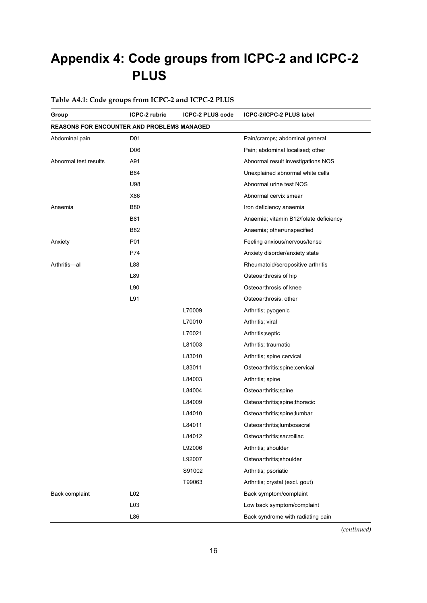# **Appendix 4: Code groups from ICPC-2 and ICPC-2 PLUS**

# **Table A4.1: Code groups from ICPC-2 and ICPC-2 PLUS**

| Group                                             | ICPC-2 rubric   | <b>ICPC-2 PLUS code</b> | ICPC-2/ICPC-2 PLUS label               |
|---------------------------------------------------|-----------------|-------------------------|----------------------------------------|
| <b>REASONS FOR ENCOUNTER AND PROBLEMS MANAGED</b> |                 |                         |                                        |
| Abdominal pain                                    | D <sub>01</sub> |                         | Pain/cramps; abdominal general         |
|                                                   | D <sub>06</sub> |                         | Pain; abdominal localised; other       |
| Abnormal test results                             | A91             |                         | Abnormal result investigations NOS     |
|                                                   | <b>B84</b>      |                         | Unexplained abnormal white cells       |
|                                                   | U98             |                         | Abnormal urine test NOS                |
|                                                   | X86             |                         | Abnormal cervix smear                  |
| Anaemia                                           | <b>B80</b>      |                         | Iron deficiency anaemia                |
|                                                   | <b>B81</b>      |                         | Anaemia; vitamin B12/folate deficiency |
|                                                   | B82             |                         | Anaemia; other/unspecified             |
| Anxiety                                           | P01             |                         | Feeling anxious/nervous/tense          |
|                                                   | P74             |                         | Anxiety disorder/anxiety state         |
| Arthritis-all                                     | L88             |                         | Rheumatoid/seropositive arthritis      |
|                                                   | L89             |                         | Osteoarthrosis of hip                  |
|                                                   | L90             |                         | Osteoarthrosis of knee                 |
|                                                   | L91             |                         | Osteoarthrosis, other                  |
|                                                   |                 | L70009                  | Arthritis; pyogenic                    |
|                                                   |                 | L70010                  | Arthritis; viral                       |
|                                                   |                 | L70021                  | Arthritis; septic                      |
|                                                   |                 | L81003                  | Arthritis; traumatic                   |
|                                                   |                 | L83010                  | Arthritis; spine cervical              |
|                                                   |                 | L83011                  | Osteoarthritis;spine;cervical          |
|                                                   |                 | L84003                  | Arthritis; spine                       |
|                                                   |                 | L84004                  | Osteoarthritis;spine                   |
|                                                   |                 | L84009                  | Osteoarthritis; spine; thoracic        |
|                                                   |                 | L84010                  | Osteoarthritis;spine;lumbar            |
|                                                   |                 | L84011                  | Osteoarthritis; lumbosacral            |
|                                                   |                 | L84012                  | Osteoarthritis; sacroiliac             |
|                                                   |                 | L92006                  | Arthritis; shoulder                    |
|                                                   |                 | L92007                  | Osteoarthritis; shoulder               |
|                                                   |                 | S91002                  | Arthritis; psoriatic                   |
|                                                   |                 | T99063                  | Arthritis; crystal (excl. gout)        |
| Back complaint                                    | L02             |                         | Back symptom/complaint                 |
|                                                   | L03             |                         | Low back symptom/complaint             |
|                                                   | L86             |                         | Back syndrome with radiating pain      |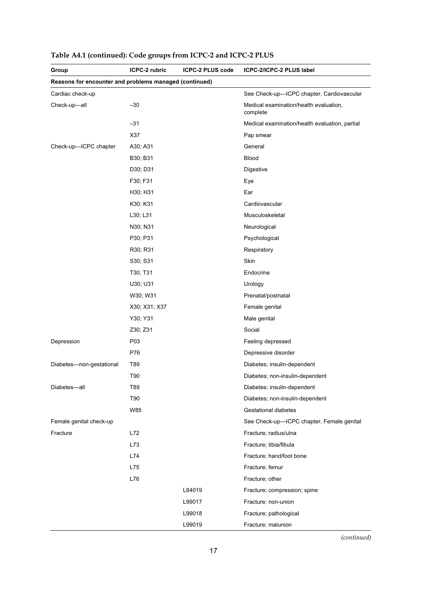| Group                                                  | ICPC-2 rubric | ICPC-2 PLUS code | ICPC-2/ICPC-2 PLUS label                           |
|--------------------------------------------------------|---------------|------------------|----------------------------------------------------|
| Reasons for encounter and problems managed (continued) |               |                  |                                                    |
| Cardiac check-up                                       |               |                  | See Check-up-ICPC chapter, Cardiovascular          |
| Check-up-all                                           | $-30$         |                  | Medical examination/health evaluation,<br>complete |
|                                                        | $-31$         |                  | Medical examination/health evaluation, partial     |
|                                                        | X37           |                  | Pap smear                                          |
| Check-up-ICPC chapter                                  | A30; A31      |                  | General                                            |
|                                                        | B30; B31      |                  | Blood                                              |
|                                                        | D30; D31      |                  | <b>Digestive</b>                                   |
|                                                        | F30; F31      |                  | Eye                                                |
|                                                        | H30; H31      |                  | Ear                                                |
|                                                        | K30; K31      |                  | Cardiovascular                                     |
|                                                        | L30; L31      |                  | Musculoskeletal                                    |
|                                                        | N30; N31      |                  | Neurological                                       |
|                                                        | P30; P31      |                  | Psychological                                      |
|                                                        | R30; R31      |                  | Respiratory                                        |
|                                                        | S30; S31      |                  | Skin                                               |
|                                                        | T30; T31      |                  | Endocrine                                          |
|                                                        | U30; U31      |                  | Urology                                            |
|                                                        | W30; W31      |                  | Prenatal/postnatal                                 |
|                                                        | X30; X31; X37 |                  | Female genital                                     |
|                                                        | Y30; Y31      |                  | Male genital                                       |
|                                                        | Z30; Z31      |                  | Social                                             |
| Depression                                             | P03           |                  | Feeling depressed                                  |
|                                                        | P76           |                  | Depressive disorder                                |
| Diabetes-non-gestational                               | T89           |                  | Diabetes; insulin-dependent                        |
|                                                        | T90           |                  | Diabetes; non-insulin-dependent                    |
| Diabetes-all                                           | T89           |                  | Diabetes; insulin-dependent                        |
|                                                        | T90           |                  | Diabetes; non-insulin-dependent                    |
|                                                        | W85           |                  | <b>Gestational diabetes</b>                        |
| Female genital check-up                                |               |                  | See Check-up-ICPC chapter, Female genital          |
| Fracture                                               | L72           |                  | Fracture; radius/ulna                              |
|                                                        | L73           |                  | Fracture; tibia/fibula                             |
|                                                        | L74           |                  | Fracture; hand/foot bone                           |
|                                                        | L75           |                  | Fracture; femur                                    |
|                                                        | L76           |                  | Fracture; other                                    |
|                                                        |               | L84019           | Fracture; compression; spine                       |
|                                                        |               | L99017           | Fracture; non-union                                |
|                                                        |               | L99018           | Fracture; pathological                             |
|                                                        |               | L99019           | Fracture; malunion                                 |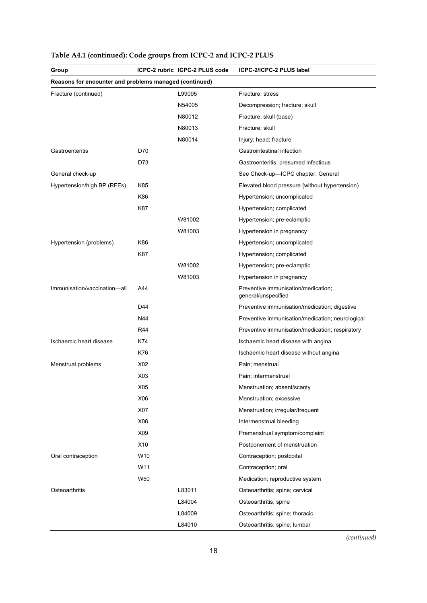| Group                                                  |     | ICPC-2 rubric ICPC-2 PLUS code | ICPC-2/ICPC-2 PLUS label                                   |
|--------------------------------------------------------|-----|--------------------------------|------------------------------------------------------------|
| Reasons for encounter and problems managed (continued) |     |                                |                                                            |
| Fracture (continued)                                   |     | L99095                         | Fracture; stress                                           |
|                                                        |     | N54005                         | Decompression; fracture; skull                             |
|                                                        |     | N80012                         | Fracture; skull (base)                                     |
|                                                        |     | N80013                         | Fracture; skull                                            |
|                                                        |     | N80014                         | Injury; head; fracture                                     |
| Gastroenteritis                                        | D70 |                                | Gastrointestinal infection                                 |
|                                                        | D73 |                                | Gastroenteritis, presumed infectious                       |
| General check-up                                       |     |                                | See Check-up-ICPC chapter, General                         |
| Hypertension/high BP (RFEs)                            | K85 |                                | Elevated blood pressure (without hypertension)             |
|                                                        | K86 |                                | Hypertension; uncomplicated                                |
|                                                        | K87 |                                | Hypertension; complicated                                  |
|                                                        |     | W81002                         | Hypertension; pre-eclamptic                                |
|                                                        |     | W81003                         | Hypertension in pregnancy                                  |
| Hypertension (problems)                                | K86 |                                | Hypertension; uncomplicated                                |
|                                                        | K87 |                                | Hypertension; complicated                                  |
|                                                        |     | W81002                         | Hypertension; pre-eclamptic                                |
|                                                        |     | W81003                         | Hypertension in pregnancy                                  |
| Immunisation/vaccination-all                           | A44 |                                | Preventive immunisation/medication;<br>general/unspecified |
|                                                        | D44 |                                | Preventive immunisation/medication; digestive              |
|                                                        | N44 |                                | Preventive immunisation/medication; neurological           |
|                                                        | R44 |                                | Preventive immunisation/medication; respiratory            |
| Ischaemic heart disease                                | K74 |                                | Ischaemic heart disease with angina                        |
|                                                        | K76 |                                | Ischaemic heart disease without angina                     |
| Menstrual problems                                     | X02 |                                | Pain; menstrual                                            |
|                                                        | X03 |                                | Pain; intermenstrual                                       |
|                                                        | X05 |                                | Menstruation; absent/scanty                                |
|                                                        | X06 |                                | Menstruation; excessive                                    |
|                                                        | X07 |                                | Menstruation; irregular/frequent                           |
|                                                        | X08 |                                | Intermenstrual bleeding                                    |
|                                                        | X09 |                                | Premenstrual symptom/complaint                             |
|                                                        | X10 |                                | Postponement of menstruation                               |
| Oral contraception                                     | W10 |                                | Contraception; postcoital                                  |
|                                                        | W11 |                                | Contraception; oral                                        |
|                                                        | W50 |                                | Medication; reproductive system                            |
| Osteoarthritis                                         |     | L83011                         | Osteoarthritis; spine; cervical                            |
|                                                        |     | L84004                         | Osteoarthritis; spine                                      |
|                                                        |     | L84009                         | Osteoarthritis; spine; thoracic                            |
|                                                        |     | L84010                         | Osteoarthritis; spine; lumbar                              |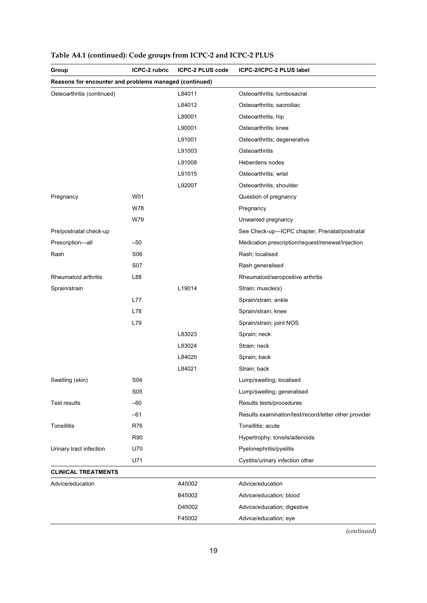| Group                                                  | <b>ICPC-2 rubric</b> | <b>ICPC-2 PLUS code</b> | ICPC-2/ICPC-2 PLUS label                              |
|--------------------------------------------------------|----------------------|-------------------------|-------------------------------------------------------|
| Reasons for encounter and problems managed (continued) |                      |                         |                                                       |
| Osteoarthritis (continued)                             |                      | L84011                  | Osteoarthritis; lumbosacral                           |
|                                                        |                      | L84012                  | Osteoarthritis; sacroiliac                            |
|                                                        |                      | L89001                  | Osteoarthritis; hip                                   |
|                                                        |                      | L90001                  | Osteoarthritis; knee                                  |
|                                                        |                      | L91001                  | Osteoarthritis; degenerative                          |
|                                                        |                      | L91003                  | Osteoarthritis                                        |
|                                                        |                      | L91008                  | Heberdens nodes                                       |
|                                                        |                      | L91015                  | Osteoarthritis; wrist                                 |
|                                                        |                      | L92007                  | Osteoarthritis; shoulder                              |
| Pregnancy                                              | W01                  |                         | Question of pregnancy                                 |
|                                                        | W78                  |                         | Pregnancy                                             |
|                                                        | W79                  |                         | Unwanted pregnancy                                    |
| Pre/postnatal check-up                                 |                      |                         | See Check-up-ICPC chapter, Prenatal/postnatal         |
| Prescription-all                                       | $-50$                |                         | Medication prescription/request/renewal/injection     |
| Rash                                                   | S06                  |                         | Rash; localised                                       |
|                                                        | <b>S07</b>           |                         | Rash generalised                                      |
| Rheumatoid arthritis                                   | L88                  |                         | Rheumatoid/seropositive arthritis                     |
| Sprain/strain                                          |                      | L19014                  | Strain; muscle(s)                                     |
|                                                        | L77                  |                         | Sprain/strain; ankle                                  |
|                                                        | L78                  |                         | Sprain/strain; knee                                   |
|                                                        | L79                  |                         | Sprain/strain; joint NOS                              |
|                                                        |                      | L83023                  | Sprain; neck                                          |
|                                                        |                      | L83024                  | Strain; neck                                          |
|                                                        |                      | L84020                  | Sprain; back                                          |
|                                                        |                      | L84021                  | Strain; back                                          |
| Swelling (skin)                                        | S04                  |                         | Lump/swelling; localised                              |
|                                                        | S05                  |                         | Lump/swelling; generalised                            |
| <b>Test results</b>                                    | $-60$                |                         | Results tests/procedures                              |
|                                                        | $-61$                |                         | Results examination/test/record/letter other provider |
| <b>Tonsillitis</b>                                     | R76                  |                         | Tonsillitis; acute                                    |
|                                                        | <b>R90</b>           |                         | Hypertrophy; tonsils/adenoids                         |
| Urinary tract infection                                | U70                  |                         | Pyelonephritis/pyelitis                               |
|                                                        | U71                  |                         | Cystitis/urinary infection other                      |
| <b>CLINICAL TREATMENTS</b>                             |                      |                         |                                                       |
| Advice/education                                       |                      | A45002                  | Advice/education                                      |
|                                                        |                      | B45002                  | Advice/education; blood                               |
|                                                        |                      | D45002                  | Advice/education; digestive                           |
|                                                        |                      | F45002                  | Advice/education; eye                                 |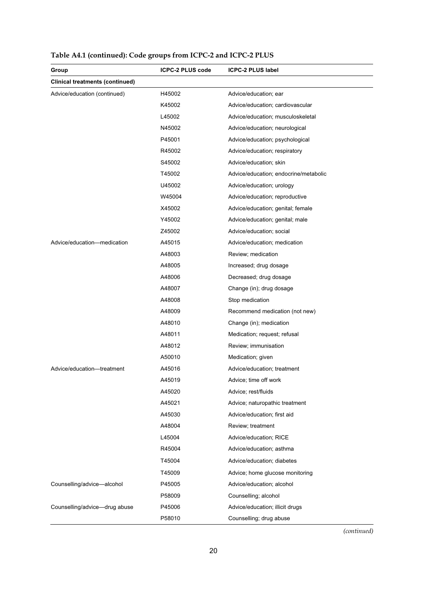| Group                                  | <b>ICPC-2 PLUS code</b> | <b>ICPC-2 PLUS label</b>              |
|----------------------------------------|-------------------------|---------------------------------------|
| <b>Clinical treatments (continued)</b> |                         |                                       |
| Advice/education (continued)           | H45002                  | Advice/education; ear                 |
|                                        | K45002                  | Advice/education; cardiovascular      |
|                                        | L45002                  | Advice/education; musculoskeletal     |
|                                        | N45002                  | Advice/education; neurological        |
|                                        | P45001                  | Advice/education; psychological       |
|                                        | R45002                  | Advice/education; respiratory         |
|                                        | S45002                  | Advice/education; skin                |
|                                        | T45002                  | Advice/education; endocrine/metabolic |
|                                        | U45002                  | Advice/education; urology             |
|                                        | W45004                  | Advice/education; reproductive        |
|                                        | X45002                  | Advice/education; genital; female     |
|                                        | Y45002                  | Advice/education; genital; male       |
|                                        | Z45002                  | Advice/education; social              |
| Advice/education-medication            | A45015                  | Advice/education; medication          |
|                                        | A48003                  | Review; medication                    |
|                                        | A48005                  | Increased; drug dosage                |
|                                        | A48006                  | Decreased; drug dosage                |
|                                        | A48007                  | Change (in); drug dosage              |
|                                        | A48008                  | Stop medication                       |
|                                        | A48009                  | Recommend medication (not new)        |
|                                        | A48010                  | Change (in); medication               |
|                                        | A48011                  | Medication; request; refusal          |
|                                        | A48012                  | Review; immunisation                  |
|                                        | A50010                  | Medication; given                     |
| Advice/education-treatment             | A45016                  | Advice/education; treatment           |
|                                        | A45019                  | Advice: time off work                 |
|                                        | A45020                  | Advice; rest/fluids                   |
|                                        | A45021                  | Advice; naturopathic treatment        |
|                                        | A45030                  | Advice/education; first aid           |
|                                        | A48004                  | Review; treatment                     |
|                                        | L45004                  | Advice/education; RICE                |
|                                        | R45004                  | Advice/education; asthma              |
|                                        | T45004                  | Advice/education; diabetes            |
|                                        | T45009                  | Advice; home glucose monitoring       |
| Counselling/advice-alcohol             | P45005                  | Advice/education; alcohol             |
|                                        | P58009                  | Counselling; alcohol                  |
| Counselling/advice-drug abuse          | P45006                  | Advice/education; illicit drugs       |
|                                        | P58010                  | Counselling; drug abuse               |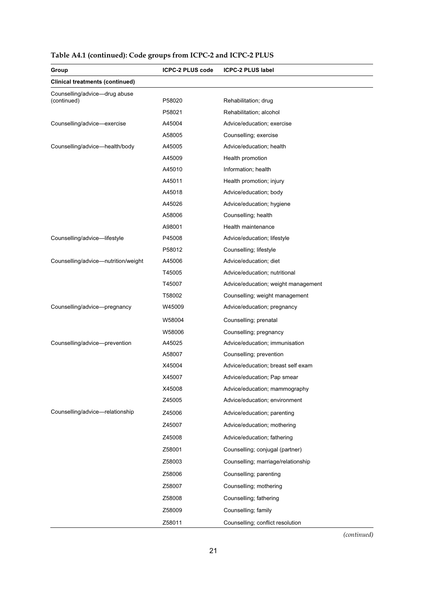| Group                                  | <b>ICPC-2 PLUS code</b> | <b>ICPC-2 PLUS label</b>                                              |
|----------------------------------------|-------------------------|-----------------------------------------------------------------------|
| <b>Clinical treatments (continued)</b> |                         |                                                                       |
| Counselling/advice-drug abuse          |                         |                                                                       |
| (continued)                            | P58020                  | Rehabilitation; drug                                                  |
|                                        | P58021                  | Rehabilitation; alcohol                                               |
| Counselling/advice-exercise            | A45004                  | Advice/education; exercise                                            |
|                                        | A58005                  | Counselling; exercise                                                 |
| Counselling/advice-health/body         | A45005                  | Advice/education; health                                              |
|                                        | A45009                  | Health promotion                                                      |
|                                        | A45010                  | Information; health                                                   |
|                                        | A45011                  | Health promotion; injury                                              |
|                                        | A45018                  | Advice/education; body                                                |
|                                        | A45026                  | Advice/education; hygiene                                             |
|                                        | A58006                  | Counselling; health                                                   |
|                                        | A98001                  | Health maintenance                                                    |
| Counselling/advice-lifestyle           | P45008                  | Advice/education; lifestyle                                           |
|                                        | P58012<br>A45006        | Counselling; lifestyle                                                |
| Counselling/advice-nutrition/weight    | T45005                  | Advice/education; diet<br>Advice/education; nutritional               |
|                                        | T45007                  |                                                                       |
|                                        | T58002                  | Advice/education; weight management<br>Counselling; weight management |
| Counselling/advice-pregnancy           | W45009                  | Advice/education; pregnancy                                           |
|                                        |                         |                                                                       |
|                                        | W58004                  | Counselling; prenatal                                                 |
|                                        | W58006                  | Counselling; pregnancy                                                |
| Counselling/advice-prevention          | A45025                  | Advice/education; immunisation                                        |
|                                        | A58007<br>X45004        | Counselling; prevention                                               |
|                                        | X45007                  | Advice/education; breast self exam                                    |
|                                        | X45008                  | Advice/education; Pap smear                                           |
|                                        | Z45005                  | Advice/education; mammography<br>Advice/education; environment        |
| Counselling/advice-relationship        |                         |                                                                       |
|                                        | Z45006                  | Advice/education; parenting                                           |
|                                        | Z45007                  | Advice/education; mothering                                           |
|                                        | Z45008                  | Advice/education; fathering                                           |
|                                        | Z58001                  | Counselling; conjugal (partner)                                       |
|                                        | Z58003                  | Counselling; marriage/relationship                                    |
|                                        | Z58006                  | Counselling; parenting                                                |
|                                        | Z58007                  | Counselling; mothering                                                |
|                                        | Z58008                  | Counselling; fathering                                                |
|                                        | Z58009                  | Counselling; family                                                   |
|                                        | Z58011                  | Counselling; conflict resolution                                      |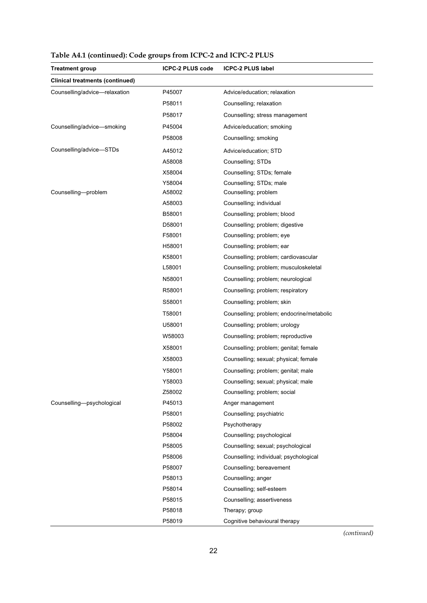| <b>Treatment group</b>                 | <b>ICPC-2 PLUS code</b> | <b>ICPC-2 PLUS label</b>                  |
|----------------------------------------|-------------------------|-------------------------------------------|
| <b>Clinical treatments (continued)</b> |                         |                                           |
| Counselling/advice-relaxation          | P45007                  | Advice/education; relaxation              |
|                                        | P58011                  | Counselling; relaxation                   |
|                                        | P58017                  | Counselling; stress management            |
| Counselling/advice-smoking             | P45004                  | Advice/education; smoking                 |
|                                        | P58008                  | Counselling; smoking                      |
| Counselling/advice-STDs                | A45012                  | Advice/education; STD                     |
|                                        | A58008                  | Counselling; STDs                         |
|                                        | X58004                  | Counselling; STDs; female                 |
|                                        | Y58004                  | Counselling; STDs; male                   |
| Counselling-problem                    | A58002                  | Counselling; problem                      |
|                                        | A58003                  | Counselling; individual                   |
|                                        | B58001                  | Counselling; problem; blood               |
|                                        | D58001                  | Counselling; problem; digestive           |
|                                        | F58001                  | Counselling; problem; eye                 |
|                                        | H58001                  | Counselling; problem; ear                 |
|                                        | K58001                  | Counselling; problem; cardiovascular      |
|                                        | L58001                  | Counselling; problem; musculoskeletal     |
|                                        | N58001                  | Counselling; problem; neurological        |
|                                        | R58001                  | Counselling; problem; respiratory         |
|                                        | S58001                  | Counselling; problem; skin                |
|                                        | T58001                  | Counselling; problem; endocrine/metabolic |
|                                        | U58001                  | Counselling; problem; urology             |
|                                        | W58003                  | Counselling; problem; reproductive        |
|                                        | X58001                  | Counselling; problem; genital; female     |
|                                        | X58003                  | Counselling; sexual; physical; female     |
|                                        | Y58001                  | Counselling; problem; genital; male       |
|                                        | Y58003                  | Counselling; sexual; physical; male       |
|                                        | Z58002                  | Counselling; problem; social              |
| Counselling-psychological              | P45013                  | Anger management                          |
|                                        | P58001                  | Counselling; psychiatric                  |
|                                        | P58002                  | Psychotherapy                             |
|                                        | P58004                  | Counselling; psychological                |
|                                        | P58005                  | Counselling; sexual; psychological        |
|                                        | P58006                  | Counselling; individual; psychological    |
|                                        | P58007                  | Counselling; bereavement                  |
|                                        | P58013                  | Counselling; anger                        |
|                                        | P58014                  | Counselling; self-esteem                  |
|                                        | P58015                  | Counselling; assertiveness                |
|                                        | P58018                  | Therapy; group                            |
|                                        | P58019                  | Cognitive behavioural therapy             |

**Table A4.1 (continued): Code groups from ICPC-2 and ICPC-2 PLUS**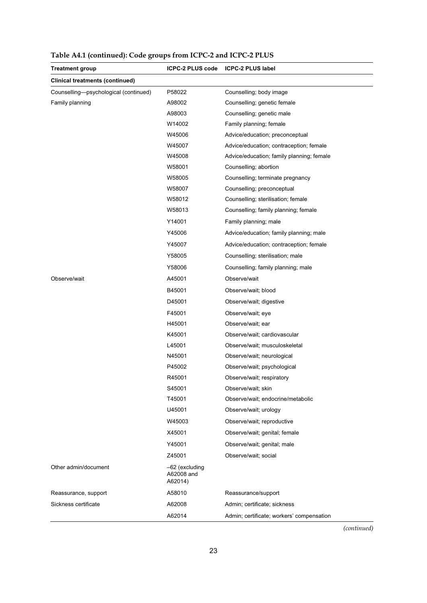| Treatment group                        | <b>ICPC-2 PLUS code</b>                   | <b>ICPC-2 PLUS label</b>                  |
|----------------------------------------|-------------------------------------------|-------------------------------------------|
| <b>Clinical treatments (continued)</b> |                                           |                                           |
| Counselling-psychological (continued)  | P58022                                    | Counselling; body image                   |
| Family planning                        | A98002                                    | Counselling; genetic female               |
|                                        | A98003                                    | Counselling; genetic male                 |
|                                        | W14002                                    | Family planning; female                   |
|                                        | W45006                                    | Advice/education; preconceptual           |
|                                        | W45007                                    | Advice/education; contraception; female   |
|                                        | W45008                                    | Advice/education; family planning; female |
|                                        | W58001                                    | Counselling; abortion                     |
|                                        | W58005                                    | Counselling; terminate pregnancy          |
|                                        | W58007                                    | Counselling; preconceptual                |
|                                        | W58012                                    | Counselling; sterilisation; female        |
|                                        | W58013                                    | Counselling; family planning; female      |
|                                        | Y14001                                    | Family planning; male                     |
|                                        | Y45006                                    | Advice/education; family planning; male   |
|                                        | Y45007                                    | Advice/education; contraception; female   |
|                                        | Y58005                                    | Counselling; sterilisation; male          |
|                                        | Y58006                                    | Counselling; family planning; male        |
| Observe/wait                           | A45001                                    | Observe/wait                              |
|                                        | B45001                                    | Observe/wait; blood                       |
|                                        | D45001                                    | Observe/wait; digestive                   |
|                                        | F45001                                    | Observe/wait; eye                         |
|                                        | H45001                                    | Observe/wait; ear                         |
|                                        | K45001                                    | Observe/wait; cardiovascular              |
|                                        | L45001                                    | Observe/wait: musculoskeletal             |
|                                        | N45001                                    | Observe/wait; neurological                |
|                                        | P45002                                    | Observe/wait; psychological               |
|                                        | R45001                                    | Observe/wait; respiratory                 |
|                                        | S45001                                    | Observe/wait; skin                        |
|                                        | T45001                                    | Observe/wait; endocrine/metabolic         |
|                                        | U45001                                    | Observe/wait; urology                     |
|                                        | W45003                                    | Observe/wait; reproductive                |
|                                        | X45001                                    | Observe/wait; genital; female             |
|                                        | Y45001                                    | Observe/wait; genital; male               |
|                                        | Z45001                                    | Observe/wait; social                      |
| Other admin/document                   | $-62$ (excluding<br>A62008 and<br>A62014) |                                           |
| Reassurance, support                   | A58010                                    | Reassurance/support                       |
| Sickness certificate                   | A62008                                    | Admin; certificate; sickness              |
|                                        | A62014                                    | Admin; certificate; workers' compensation |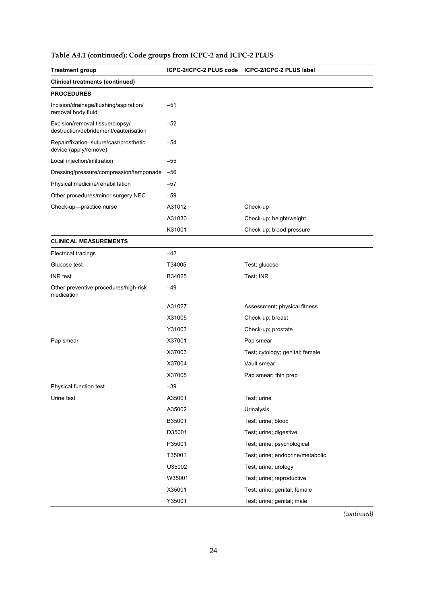|  |  | Table A4.1 (continued): Code groups from ICPC-2 and ICPC-2 PLUS |
|--|--|-----------------------------------------------------------------|
|--|--|-----------------------------------------------------------------|

| <b>Treatment group</b>                                                   | ICPC-2/ICPC-2 PLUS code ICPC-2/ICPC-2 PLUS label |                                  |
|--------------------------------------------------------------------------|--------------------------------------------------|----------------------------------|
| <b>Clinical treatments (continued)</b>                                   |                                                  |                                  |
| <b>PROCEDURES</b>                                                        |                                                  |                                  |
| Incision/drainage/flushing/aspiration/<br>removal body fluid             | $-51$                                            |                                  |
| Excision/removal tissue/biopsy/<br>destruction/debridement/cauterisation | $-52$                                            |                                  |
| Repair/fixation-suture/cast/prosthetic<br>device (apply/remove)          | -54                                              |                                  |
| Local injection/infiltration                                             | $-55$                                            |                                  |
| Dressing/pressure/compression/tamponade                                  | $-56$                                            |                                  |
| Physical medicine/rehabilitation                                         | $-57$                                            |                                  |
| Other procedures/minor surgery NEC                                       | $-59$                                            |                                  |
| Check-up-practice nurse                                                  | A31012                                           | Check-up                         |
|                                                                          | A31030                                           | Check-up; height/weight          |
|                                                                          | K31001                                           | Check-up; blood pressure         |
| <b>CLINICAL MEASUREMENTS</b>                                             |                                                  |                                  |
| <b>Electrical tracings</b>                                               | $-42$                                            |                                  |
| Glucose test                                                             | T34005                                           | Test; glucose                    |
| <b>INR</b> test                                                          | B34025                                           | Test; INR                        |
| Other preventive procedures/high-risk<br>medication                      | $-49$                                            |                                  |
|                                                                          | A31027                                           | Assessment; physical fitness     |
|                                                                          | X31005                                           | Check-up; breast                 |
|                                                                          | Y31003                                           | Check-up; prostate               |
| Pap smear                                                                | X37001                                           | Pap smear                        |
|                                                                          | X37003                                           | Test; cytology; genital; female  |
|                                                                          | X37004                                           | Vault smear                      |
|                                                                          | X37005                                           | Pap smear; thin prep             |
| Physical function test                                                   | $-39$                                            |                                  |
| Urine test                                                               | A35001                                           | Test; urine                      |
|                                                                          | A35002                                           | Urinalysis                       |
|                                                                          | B35001                                           | Test; urine; blood               |
|                                                                          | D35001                                           | Test; urine; digestive           |
|                                                                          | P35001                                           | Test; urine; psychological       |
|                                                                          | T35001                                           | Test; urine; endocrine/metabolic |
|                                                                          | U35002                                           | Test; urine; urology             |
|                                                                          | W35001                                           | Test; urine; reproductive        |
|                                                                          | X35001                                           | Test; urine; genital; female     |
|                                                                          | Y35001                                           | Test; urine; genital; male       |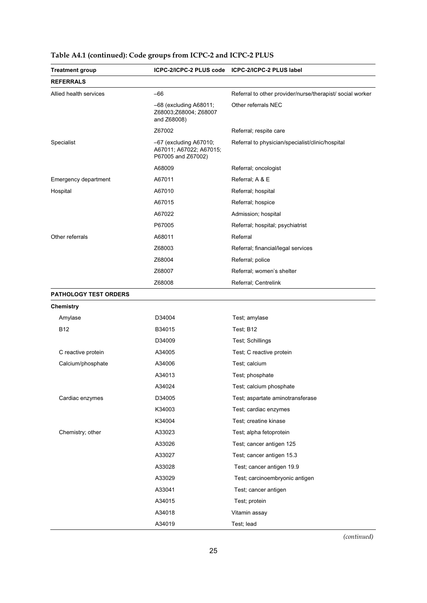| <b>Treatment group</b>       |                                                                           | ICPC-2/ICPC-2 PLUS code ICPC-2/ICPC-2 PLUS label          |
|------------------------------|---------------------------------------------------------------------------|-----------------------------------------------------------|
| <b>REFERRALS</b>             |                                                                           |                                                           |
| Allied health services       | -66                                                                       | Referral to other provider/nurse/therapist/ social worker |
|                              | $-68$ (excluding A68011;<br>Z68003;Z68004; Z68007<br>and Z68008)          | Other referrals NEC                                       |
|                              | Z67002                                                                    | Referral; respite care                                    |
| Specialist                   | $-67$ (excluding A67010;<br>A67011; A67022; A67015;<br>P67005 and Z67002) | Referral to physician/specialist/clinic/hospital          |
|                              | A68009                                                                    | Referral; oncologist                                      |
| Emergency department         | A67011                                                                    | Referral; A & E                                           |
| Hospital                     | A67010                                                                    | Referral; hospital                                        |
|                              | A67015                                                                    | Referral; hospice                                         |
|                              | A67022                                                                    | Admission; hospital                                       |
|                              | P67005                                                                    | Referral; hospital; psychiatrist                          |
| Other referrals              | A68011                                                                    | Referral                                                  |
|                              | Z68003                                                                    | Referral; financial/legal services                        |
|                              | Z68004                                                                    | Referral; police                                          |
|                              | Z68007                                                                    | Referral; women's shelter                                 |
|                              | Z68008                                                                    | Referral; Centrelink                                      |
| <b>PATHOLOGY TEST ORDERS</b> |                                                                           |                                                           |
| Chemistry                    |                                                                           |                                                           |
| Amylase                      | D34004                                                                    | Test; amylase                                             |
| <b>B12</b>                   | B34015                                                                    | Test; B12                                                 |
|                              | D34009                                                                    | Test; Schillings                                          |
| C reactive protein           | A34005                                                                    | Test; C reactive protein                                  |
| Calcium/phosphate            | A34006                                                                    | Test; calcium                                             |
|                              | A34013                                                                    | Test; phosphate                                           |
|                              | A34024                                                                    | Test; calcium phosphate                                   |
| Cardiac enzymes              | D34005                                                                    | Test; aspartate aminotransferase                          |
|                              | K34003                                                                    | Test; cardiac enzymes                                     |
|                              | K34004                                                                    | Test; creatine kinase                                     |
| Chemistry; other             | A33023                                                                    | Test; alpha fetoprotein                                   |
|                              | A33026                                                                    | Test; cancer antigen 125                                  |
|                              | A33027                                                                    | Test; cancer antigen 15.3                                 |
|                              | A33028                                                                    | Test; cancer antigen 19.9                                 |
|                              | A33029                                                                    | Test; carcinoembryonic antigen                            |
|                              | A33041                                                                    | Test; cancer antigen                                      |
|                              | A34015                                                                    | Test; protein                                             |
|                              | A34018                                                                    | Vitamin assay                                             |
|                              | A34019                                                                    | Test; lead                                                |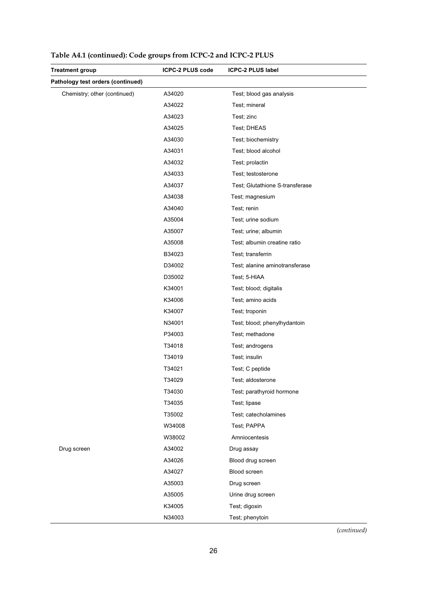| <b>Treatment group</b>            | <b>ICPC-2 PLUS code</b> | <b>ICPC-2 PLUS label</b>        |
|-----------------------------------|-------------------------|---------------------------------|
| Pathology test orders (continued) |                         |                                 |
| Chemistry; other (continued)      | A34020                  | Test; blood gas analysis        |
|                                   | A34022                  | Test; mineral                   |
|                                   | A34023                  | Test; zinc                      |
|                                   | A34025                  | Test; DHEAS                     |
|                                   | A34030                  | Test; biochemistry              |
|                                   | A34031                  | Test; blood alcohol             |
|                                   | A34032                  | Test; prolactin                 |
|                                   | A34033                  | Test; testosterone              |
|                                   | A34037                  | Test; Glutathione S-transferase |
|                                   | A34038                  | Test; magnesium                 |
|                                   | A34040                  | Test; renin                     |
|                                   | A35004                  | Test; urine sodium              |
|                                   | A35007                  | Test; urine; albumin            |
|                                   | A35008                  | Test; albumin creatine ratio    |
|                                   | B34023                  | Test; transferrin               |
|                                   | D34002                  | Test; alanine aminotransferase  |
|                                   | D35002                  | Test; 5-HIAA                    |
|                                   | K34001                  | Test; blood; digitalis          |
|                                   | K34006                  | Test; amino acids               |
|                                   | K34007                  | Test; troponin                  |
|                                   | N34001                  | Test; blood; phenylhydantoin    |
|                                   | P34003                  | Test; methadone                 |
|                                   | T34018                  | Test; androgens                 |
|                                   | T34019                  | Test; insulin                   |
|                                   | T34021                  | Test; C peptide                 |
|                                   | T34029                  | Test; aldosterone               |
|                                   | T34030                  | Test; parathyroid hormone       |
|                                   | T34035                  | Test; lipase                    |
|                                   | T35002                  | Test; catecholamines            |
|                                   | W34008                  | Test; PAPPA                     |
|                                   | W38002                  | Amniocentesis                   |
| Drug screen                       | A34002                  | Drug assay                      |
|                                   | A34026                  | Blood drug screen               |
|                                   | A34027                  | Blood screen                    |
|                                   | A35003                  | Drug screen                     |
|                                   | A35005                  | Urine drug screen               |
|                                   | K34005                  | Test; digoxin                   |
|                                   | N34003                  | Test; phenytoin                 |

**Table A4.1 (continued): Code groups from ICPC-2 and ICPC-2 PLUS**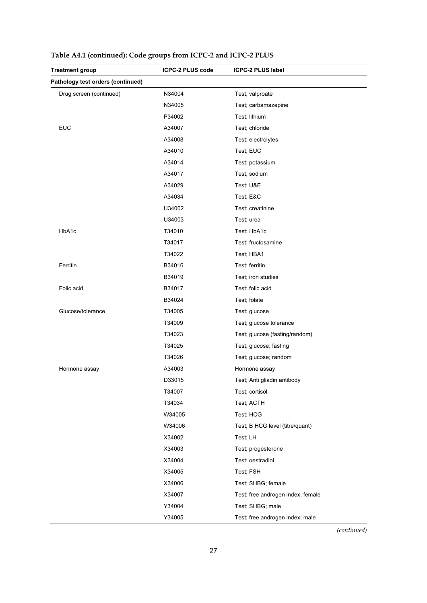| Treatment group                   | <b>ICPC-2 PLUS code</b> | <b>ICPC-2 PLUS label</b>          |
|-----------------------------------|-------------------------|-----------------------------------|
| Pathology test orders (continued) |                         |                                   |
| Drug screen (continued)           | N34004                  | Test; valproate                   |
|                                   | N34005                  | Test; carbamazepine               |
|                                   | P34002                  | Test; lithium                     |
| <b>EUC</b>                        | A34007                  | Test; chloride                    |
|                                   | A34008                  | Test; electrolytes                |
|                                   | A34010                  | Test; EUC                         |
|                                   | A34014                  | Test; potassium                   |
|                                   | A34017                  | Test; sodium                      |
|                                   | A34029                  | Test; U&E                         |
|                                   | A34034                  | Test; E&C                         |
|                                   | U34002                  | Test; creatinine                  |
|                                   | U34003                  | Test; urea                        |
| HbA1c                             | T34010                  | Test; HbA1c                       |
|                                   | T34017                  | Test; fructosamine                |
|                                   | T34022                  | Test; HBA1                        |
| Ferritin                          | B34016                  | Test; ferritin                    |
|                                   | B34019                  | Test; iron studies                |
| Folic acid                        | B34017                  | Test; folic acid                  |
|                                   | B34024                  | Test; folate                      |
| Glucose/tolerance                 | T34005                  | Test; glucose                     |
|                                   | T34009                  | Test; glucose tolerance           |
|                                   | T34023                  | Test; glucose (fasting/random)    |
|                                   | T34025                  | Test; glucose; fasting            |
|                                   | T34026                  | Test; glucose; random             |
| Hormone assay                     | A34003                  | Hormone assay                     |
|                                   | D33015                  | Test; Anti gliadin antibody       |
|                                   | T34007                  | Test; cortisol                    |
|                                   | T34034                  | Test; ACTH                        |
|                                   | W34005                  | Test; HCG                         |
|                                   | W34006                  | Test; B HCG level (titre/quant)   |
|                                   | X34002                  | Test; LH                          |
|                                   | X34003                  | Test; progesterone                |
|                                   | X34004                  | Test; oestradiol                  |
|                                   | X34005                  | Test; FSH                         |
|                                   | X34006                  | Test; SHBG; female                |
|                                   | X34007                  | Test; free androgen index; female |
|                                   | Y34004                  | Test; SHBG; male                  |
|                                   | Y34005                  | Test; free androgen index; male   |

**Table A4.1 (continued): Code groups from ICPC-2 and ICPC-2 PLUS**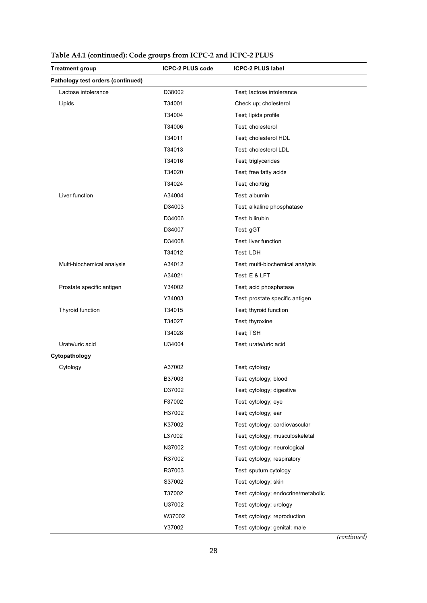| <b>Treatment group</b>            | ICPC-2 PLUS code | <b>ICPC-2 PLUS label</b>            |
|-----------------------------------|------------------|-------------------------------------|
| Pathology test orders (continued) |                  |                                     |
| Lactose intolerance               | D38002           | Test; lactose intolerance           |
| Lipids                            | T34001           | Check up; cholesterol               |
|                                   | T34004           | Test; lipids profile                |
|                                   | T34006           | Test; cholesterol                   |
|                                   | T34011           | Test; cholesterol HDL               |
|                                   | T34013           | Test; cholesterol LDL               |
|                                   | T34016           | Test; triglycerides                 |
|                                   | T34020           | Test; free fatty acids              |
|                                   | T34024           | Test; chol/trig                     |
| Liver function                    | A34004           | Test; albumin                       |
|                                   | D34003           | Test; alkaline phosphatase          |
|                                   | D34006           | Test; bilirubin                     |
|                                   | D34007           | Test; gGT                           |
|                                   | D34008           | Test; liver function                |
|                                   | T34012           | Test; LDH                           |
| Multi-biochemical analysis        | A34012           | Test; multi-biochemical analysis    |
|                                   | A34021           | Test; E & LFT                       |
| Prostate specific antigen         | Y34002           | Test; acid phosphatase              |
|                                   | Y34003           | Test; prostate specific antigen     |
| Thyroid function                  | T34015           | Test; thyroid function              |
|                                   | T34027           | Test; thyroxine                     |
|                                   | T34028           | Test; TSH                           |
| Urate/uric acid                   | U34004           | Test; urate/uric acid               |
| Cytopathology                     |                  |                                     |
| Cytology                          | A37002           | Test; cytology                      |
|                                   | B37003           | Test; cytology; blood               |
|                                   | D37002           | Test; cytology; digestive           |
|                                   | F37002           | Test; cytology; eye                 |
|                                   | H37002           | Test; cytology; ear                 |
|                                   | K37002           | Test; cytology; cardiovascular      |
|                                   | L37002           | Test; cytology; musculoskeletal     |
|                                   | N37002           | Test; cytology; neurological        |
|                                   | R37002           | Test; cytology; respiratory         |
|                                   | R37003           | Test; sputum cytology               |
|                                   | S37002           | Test; cytology; skin                |
|                                   | T37002           | Test; cytology; endocrine/metabolic |
|                                   | U37002           | Test; cytology; urology             |
|                                   | W37002           | Test; cytology; reproduction        |
|                                   | Y37002           | Test; cytology; genital; male       |

| Table A4.1 (continued): Code groups from ICPC-2 and ICPC-2 PLUS |  |  |  |
|-----------------------------------------------------------------|--|--|--|
|-----------------------------------------------------------------|--|--|--|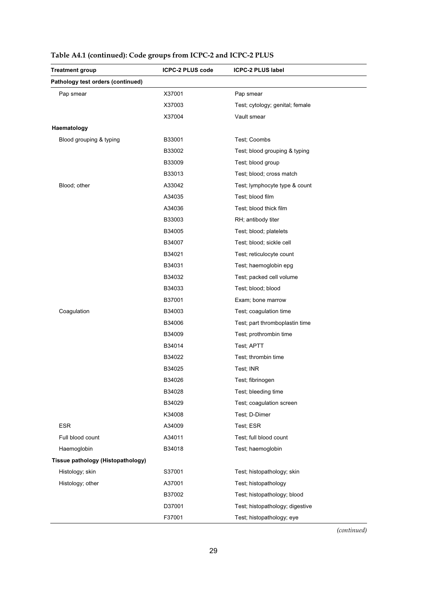| <b>Treatment group</b>            | <b>ICPC-2 PLUS code</b> | <b>ICPC-2 PLUS label</b>        |
|-----------------------------------|-------------------------|---------------------------------|
| Pathology test orders (continued) |                         |                                 |
| Pap smear                         | X37001                  | Pap smear                       |
|                                   | X37003                  | Test; cytology; genital; female |
|                                   | X37004                  | Vault smear                     |
| Haematology                       |                         |                                 |
| Blood grouping & typing           | B33001                  | Test; Coombs                    |
|                                   | B33002                  | Test; blood grouping & typing   |
|                                   | B33009                  | Test; blood group               |
|                                   | B33013                  | Test; blood; cross match        |
| Blood; other                      | A33042                  | Test; lymphocyte type & count   |
|                                   | A34035                  | Test; blood film                |
|                                   | A34036                  | Test; blood thick film          |
|                                   | B33003                  | RH; antibody titer              |
|                                   | B34005                  | Test; blood; platelets          |
|                                   | B34007                  | Test; blood; sickle cell        |
|                                   | B34021                  | Test; reticulocyte count        |
|                                   | B34031                  | Test; haemoglobin epg           |
|                                   | B34032                  | Test; packed cell volume        |
|                                   | B34033                  | Test; blood; blood              |
|                                   | B37001                  | Exam; bone marrow               |
| Coagulation                       | B34003                  | Test; coagulation time          |
|                                   | B34006                  | Test; part thromboplastin time  |
|                                   | B34009                  | Test; prothrombin time          |
|                                   | B34014                  | Test; APTT                      |
|                                   | B34022                  | Test; thrombin time             |
|                                   | B34025                  | Test; INR                       |
|                                   | B34026                  | Test; fibrinogen                |
|                                   | B34028                  | Test; bleeding time             |
|                                   | B34029                  | Test; coagulation screen        |
|                                   | K34008                  | Test; D-Dimer                   |
| <b>ESR</b>                        | A34009                  | Test; ESR                       |
| Full blood count                  | A34011                  | Test; full blood count          |
| Haemoglobin                       | B34018                  | Test; haemoglobin               |
| Tissue pathology (Histopathology) |                         |                                 |
| Histology; skin                   | S37001                  | Test; histopathology; skin      |
| Histology; other                  | A37001                  | Test; histopathology            |
|                                   | B37002                  | Test; histopathology; blood     |
|                                   | D37001                  | Test; histopathology; digestive |
|                                   | F37001                  | Test; histopathology; eye       |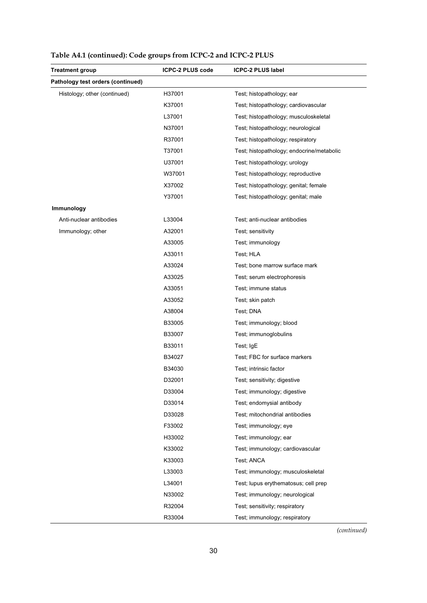| <b>Treatment group</b>            | ICPC-2 PLUS code | <b>ICPC-2 PLUS label</b>                  |
|-----------------------------------|------------------|-------------------------------------------|
| Pathology test orders (continued) |                  |                                           |
| Histology; other (continued)      | H37001           | Test; histopathology; ear                 |
|                                   | K37001           | Test; histopathology; cardiovascular      |
|                                   | L37001           | Test; histopathology; musculoskeletal     |
|                                   | N37001           | Test; histopathology; neurological        |
|                                   | R37001           | Test; histopathology; respiratory         |
|                                   | T37001           | Test; histopathology; endocrine/metabolic |
|                                   | U37001           | Test; histopathology; urology             |
|                                   | W37001           | Test; histopathology; reproductive        |
|                                   | X37002           | Test; histopathology; genital; female     |
|                                   | Y37001           | Test; histopathology; genital; male       |
| Immunology                        |                  |                                           |
| Anti-nuclear antibodies           | L33004           | Test; anti-nuclear antibodies             |
| Immunology; other                 | A32001           | Test; sensitivity                         |
|                                   | A33005           | Test; immunology                          |
|                                   | A33011           | Test; HLA                                 |
|                                   | A33024           | Test; bone marrow surface mark            |
|                                   | A33025           | Test; serum electrophoresis               |
|                                   | A33051           | Test; immune status                       |
|                                   | A33052           | Test; skin patch                          |
|                                   | A38004           | Test; DNA                                 |
|                                   | B33005           | Test; immunology; blood                   |
|                                   | B33007           | Test; immunoglobulins                     |
|                                   | B33011           | Test; IgE                                 |
|                                   | B34027           | Test; FBC for surface markers             |
|                                   | B34030           | Test; intrinsic factor                    |
|                                   | D32001           | Test; sensitivity; digestive              |
|                                   | D33004           | Test; immunology; digestive               |
|                                   | D33014           | Test; endomysial antibody                 |
|                                   | D33028           | Test; mitochondrial antibodies            |
|                                   | F33002           | Test; immunology; eye                     |
|                                   | H33002           | Test; immunology; ear                     |
|                                   | K33002           | Test; immunology; cardiovascular          |
|                                   | K33003           | Test; ANCA                                |
|                                   | L33003           | Test; immunology; musculoskeletal         |
|                                   | L34001           | Test; lupus erythematosus; cell prep      |
|                                   | N33002           | Test; immunology; neurological            |
|                                   | R32004           | Test; sensitivity; respiratory            |
|                                   | R33004           | Test; immunology; respiratory             |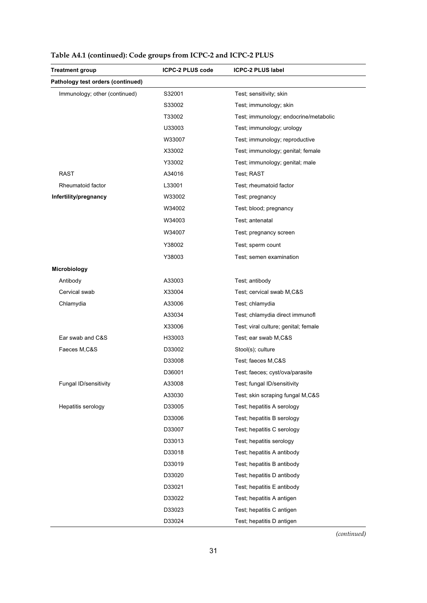| <b>Treatment group</b>            | <b>ICPC-2 PLUS code</b> | <b>ICPC-2 PLUS label</b>              |
|-----------------------------------|-------------------------|---------------------------------------|
| Pathology test orders (continued) |                         |                                       |
| Immunology; other (continued)     | S32001                  | Test; sensitivity; skin               |
|                                   | S33002                  | Test; immunology; skin                |
|                                   | T33002                  | Test; immunology; endocrine/metabolic |
|                                   | U33003                  | Test; immunology; urology             |
|                                   | W33007                  | Test; immunology; reproductive        |
|                                   | X33002                  | Test; immunology; genital; female     |
|                                   | Y33002                  | Test; immunology; genital; male       |
| <b>RAST</b>                       | A34016                  | Test; RAST                            |
| Rheumatoid factor                 | L33001                  | Test; rheumatoid factor               |
| Infertility/pregnancy             | W33002                  | Test; pregnancy                       |
|                                   | W34002                  | Test; blood; pregnancy                |
|                                   | W34003                  | Test; antenatal                       |
|                                   | W34007                  | Test; pregnancy screen                |
|                                   | Y38002                  | Test; sperm count                     |
|                                   | Y38003                  | Test; semen examination               |
| Microbiology                      |                         |                                       |
| Antibody                          | A33003                  | Test; antibody                        |
| Cervical swab                     | X33004                  | Test; cervical swab M,C&S             |
| Chlamydia                         | A33006                  | Test; chlamydia                       |
|                                   | A33034                  | Test; chlamydia direct immunofl       |
|                                   | X33006                  | Test; viral culture; genital; female  |
| Ear swab and C&S                  | H33003                  | Test; ear swab M,C&S                  |
| Faeces M,C&S                      | D33002                  | Stool(s); culture                     |
|                                   | D33008                  | Test; faeces M,C&S                    |
|                                   | D36001                  | Test; faeces; cyst/ova/parasite       |
| Fungal ID/sensitivity             | A33008                  | Test; fungal ID/sensitivity           |
|                                   | A33030                  | Test; skin scraping fungal M,C&S      |
| Hepatitis serology                | D33005                  | Test; hepatitis A serology            |
|                                   | D33006                  | Test; hepatitis B serology            |
|                                   | D33007                  | Test; hepatitis C serology            |
|                                   | D33013                  | Test; hepatitis serology              |
|                                   | D33018                  | Test; hepatitis A antibody            |
|                                   | D33019                  | Test; hepatitis B antibody            |
|                                   | D33020                  | Test; hepatitis D antibody            |
|                                   | D33021                  | Test; hepatitis E antibody            |
|                                   | D33022                  | Test; hepatitis A antigen             |
|                                   | D33023                  | Test; hepatitis C antigen             |
|                                   | D33024                  | Test; hepatitis D antigen             |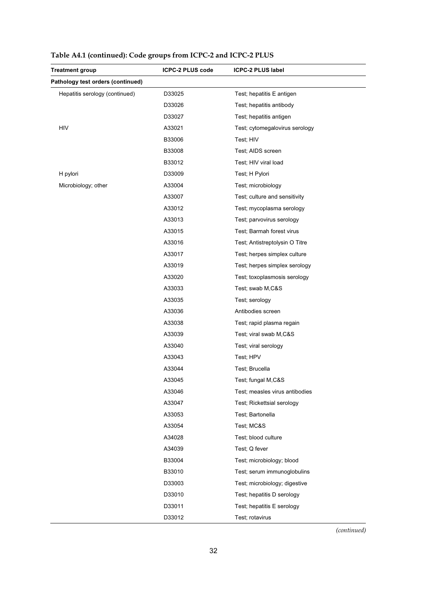| <b>Treatment group</b>            | <b>ICPC-2 PLUS code</b> | <b>ICPC-2 PLUS label</b>       |
|-----------------------------------|-------------------------|--------------------------------|
| Pathology test orders (continued) |                         |                                |
| Hepatitis serology (continued)    | D33025                  | Test; hepatitis E antigen      |
|                                   | D33026                  | Test; hepatitis antibody       |
|                                   | D33027                  | Test; hepatitis antigen        |
| <b>HIV</b>                        | A33021                  | Test; cytomegalovirus serology |
|                                   | B33006                  | Test; HIV                      |
|                                   | B33008                  | Test; AIDS screen              |
|                                   | B33012                  | Test; HIV viral load           |
| H pylori                          | D33009                  | Test; H Pylori                 |
| Microbiology; other               | A33004                  | Test; microbiology             |
|                                   | A33007                  | Test; culture and sensitivity  |
|                                   | A33012                  | Test; mycoplasma serology      |
|                                   | A33013                  | Test; parvovirus serology      |
|                                   | A33015                  | Test; Barmah forest virus      |
|                                   | A33016                  | Test; Antistreptolysin O Titre |
|                                   | A33017                  | Test; herpes simplex culture   |
|                                   | A33019                  | Test; herpes simplex serology  |
|                                   | A33020                  | Test; toxoplasmosis serology   |
|                                   | A33033                  | Test; swab M,C&S               |
|                                   | A33035                  | Test; serology                 |
|                                   | A33036                  | Antibodies screen              |
|                                   | A33038                  | Test; rapid plasma regain      |
|                                   | A33039                  | Test; viral swab M,C&S         |
|                                   | A33040                  | Test; viral serology           |
|                                   | A33043                  | Test; HPV                      |
|                                   | A33044                  | Test; Brucella                 |
|                                   | A33045                  | Test; fungal M,C&S             |
|                                   | A33046                  | Test; measles virus antibodies |
|                                   | A33047                  | Test; Rickettsial serology     |
|                                   | A33053                  | Test; Bartonella               |
|                                   | A33054                  | Test; MC&S                     |
|                                   | A34028                  | Test; blood culture            |
|                                   | A34039                  | Test; Q fever                  |
|                                   | B33004                  | Test; microbiology; blood      |
|                                   | B33010                  | Test; serum immunoglobulins    |
|                                   | D33003                  | Test; microbiology; digestive  |
|                                   | D33010                  | Test; hepatitis D serology     |
|                                   | D33011                  | Test; hepatitis E serology     |
|                                   | D33012                  | Test; rotavirus                |

|  |  |  | Table A4.1 (continued): Code groups from ICPC-2 and ICPC-2 PLUS |
|--|--|--|-----------------------------------------------------------------|
|--|--|--|-----------------------------------------------------------------|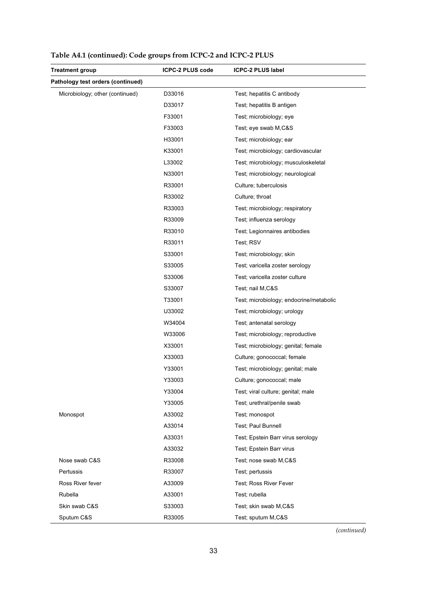| <b>Treatment group</b>            | ICPC-2 PLUS code | <b>ICPC-2 PLUS label</b>                |
|-----------------------------------|------------------|-----------------------------------------|
| Pathology test orders (continued) |                  |                                         |
| Microbiology; other (continued)   | D33016           | Test; hepatitis C antibody              |
|                                   | D33017           | Test; hepatitis B antigen               |
|                                   | F33001           | Test; microbiology; eye                 |
|                                   | F33003           | Test; eye swab M,C&S                    |
|                                   | H33001           | Test; microbiology; ear                 |
|                                   | K33001           | Test; microbiology; cardiovascular      |
|                                   | L33002           | Test; microbiology; musculoskeletal     |
|                                   | N33001           | Test; microbiology; neurological        |
|                                   | R33001           | Culture; tuberculosis                   |
|                                   | R33002           | Culture; throat                         |
|                                   | R33003           | Test; microbiology; respiratory         |
|                                   | R33009           | Test; influenza serology                |
|                                   | R33010           | Test; Legionnaires antibodies           |
|                                   | R33011           | Test; RSV                               |
|                                   | S33001           | Test; microbiology; skin                |
|                                   | S33005           | Test; varicella zoster serology         |
|                                   | S33006           | Test; varicella zoster culture          |
|                                   | S33007           | Test; nail M,C&S                        |
|                                   | T33001           | Test; microbiology; endocrine/metabolic |
|                                   | U33002           | Test; microbiology; urology             |
|                                   | W34004           | Test; antenatal serology                |
|                                   | W33006           | Test; microbiology; reproductive        |
|                                   | X33001           | Test; microbiology; genital; female     |
|                                   | X33003           | Culture; gonococcal; female             |
|                                   | Y33001           | Test; microbiology; genital; male       |
|                                   | Y33003           | Culture; gonococcal; male               |
|                                   | Y33004           | Test; viral culture; genital; male      |
|                                   | Y33005           | Test; urethral/penile swab              |
| Monospot                          | A33002           | Test; monospot                          |
|                                   | A33014           | Test; Paul Bunnell                      |
|                                   | A33031           | Test; Epstein Barr virus serology       |
|                                   | A33032           | Test; Epstein Barr virus                |
| Nose swab C&S                     | R33008           | Test; nose swab M,C&S                   |
| Pertussis                         | R33007           | Test; pertussis                         |
| Ross River fever                  | A33009           | Test; Ross River Fever                  |
| Rubella                           | A33001           | Test; rubella                           |
| Skin swab C&S                     | S33003           | Test; skin swab M,C&S                   |
| Sputum C&S                        | R33005           | Test; sputum M,C&S                      |

|  |  |  | Table A4.1 (continued): Code groups from ICPC-2 and ICPC-2 PLUS |  |
|--|--|--|-----------------------------------------------------------------|--|
|--|--|--|-----------------------------------------------------------------|--|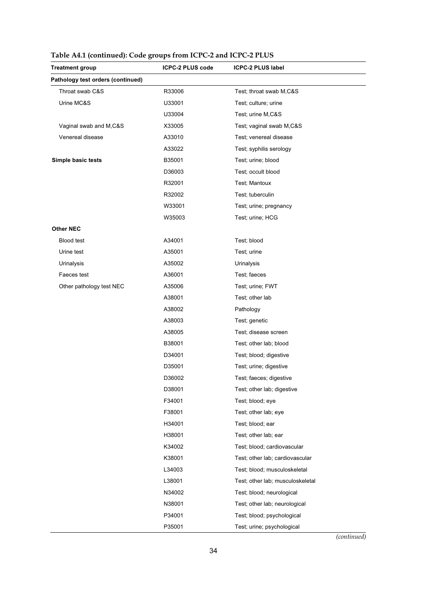| <b>Treatment group</b>            | ICPC-2 PLUS code | <b>ICPC-2 PLUS label</b>         |
|-----------------------------------|------------------|----------------------------------|
| Pathology test orders (continued) |                  |                                  |
| Throat swab C&S                   | R33006           | Test; throat swab M,C&S          |
| Urine MC&S                        | U33001           | Test; culture; urine             |
|                                   | U33004           | Test; urine M,C&S                |
| Vaginal swab and M,C&S            | X33005           | Test; vaginal swab M,C&S         |
| Venereal disease                  | A33010           | Test; venereal disease           |
|                                   | A33022           | Test; syphilis serology          |
| Simple basic tests                | B35001           | Test; urine; blood               |
|                                   | D36003           | Test; occult blood               |
|                                   | R32001           | Test; Mantoux                    |
|                                   | R32002           | Test; tuberculin                 |
|                                   | W33001           | Test; urine; pregnancy           |
|                                   | W35003           | Test; urine; HCG                 |
| <b>Other NEC</b>                  |                  |                                  |
| <b>Blood test</b>                 | A34001           | Test; blood                      |
| Urine test                        | A35001           | Test; urine                      |
| Urinalysis                        | A35002           | Urinalysis                       |
| Faeces test                       | A36001           | Test; faeces                     |
| Other pathology test NEC          | A35006           | Test; urine; FWT                 |
|                                   | A38001           | Test; other lab                  |
|                                   | A38002           | Pathology                        |
|                                   | A38003           | Test; genetic                    |
|                                   | A38005           | Test; disease screen             |
|                                   | B38001           | Test; other lab; blood           |
|                                   | D34001           | Test; blood; digestive           |
|                                   | D35001           | Test; urine; digestive           |
|                                   | D36002           | Test; faeces; digestive          |
|                                   | D38001           | Test; other lab; digestive       |
|                                   | F34001           | Test; blood; eve                 |
|                                   | F38001           | Test; other lab; eye             |
|                                   | H34001           | Test; blood; ear                 |
|                                   | H38001           | Test; other lab; ear             |
|                                   | K34002           | Test; blood; cardiovascular      |
|                                   | K38001           | Test; other lab; cardiovascular  |
|                                   | L34003           | Test; blood; musculoskeletal     |
|                                   | L38001           | Test; other lab; musculoskeletal |
|                                   | N34002           | Test; blood; neurological        |
|                                   | N38001           | Test; other lab; neurological    |
|                                   | P34001           | Test; blood; psychological       |
|                                   | P35001           | Test; urine; psychological       |

|  |  | Table A4.1 (continued): Code groups from ICPC-2 and ICPC-2 PLUS |
|--|--|-----------------------------------------------------------------|
|--|--|-----------------------------------------------------------------|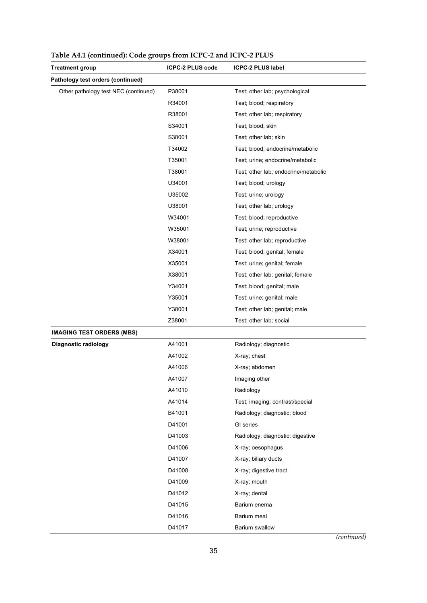| <b>Treatment group</b>               | <b>ICPC-2 PLUS code</b> | <b>ICPC-2 PLUS label</b>             |
|--------------------------------------|-------------------------|--------------------------------------|
| Pathology test orders (continued)    |                         |                                      |
| Other pathology test NEC (continued) | P38001                  | Test; other lab; psychological       |
|                                      | R34001                  | Test; blood; respiratory             |
|                                      | R38001                  | Test; other lab; respiratory         |
|                                      | S34001                  | Test; blood; skin                    |
|                                      | S38001                  | Test; other lab; skin                |
|                                      | T34002                  | Test; blood; endocrine/metabolic     |
|                                      | T35001                  | Test; urine; endocrine/metabolic     |
|                                      | T38001                  | Test; other lab; endocrine/metabolic |
|                                      | U34001                  | Test; blood; urology                 |
|                                      | U35002                  | Test; urine; urology                 |
|                                      | U38001                  | Test; other lab; urology             |
|                                      | W34001                  | Test; blood; reproductive            |
|                                      | W35001                  | Test; urine; reproductive            |
|                                      | W38001                  | Test; other lab; reproductive        |
|                                      | X34001                  | Test; blood; genital; female         |
|                                      | X35001                  | Test; urine; genital; female         |
|                                      | X38001                  | Test; other lab; genital; female     |
|                                      | Y34001                  | Test; blood; genital; male           |
|                                      | Y35001                  | Test; urine; genital; male           |
|                                      | Y38001                  | Test; other lab; genital; male       |
|                                      | Z38001                  | Test; other lab; social              |
| <b>IMAGING TEST ORDERS (MBS)</b>     |                         |                                      |
| Diagnostic radiology                 | A41001                  | Radiology; diagnostic                |
|                                      | A41002                  | X-ray; chest                         |
|                                      | A41006                  | X-ray; abdomen                       |
|                                      | A41007                  | Imaging other                        |
|                                      | A41010                  | Radiology                            |
|                                      | A41014                  | Test; imaging; contrast/special      |
|                                      | B41001                  | Radiology; diagnostic; blood         |
|                                      | D41001                  | GI series                            |
|                                      | D41003                  | Radiology; diagnostic; digestive     |
|                                      | D41006                  | X-ray; oesophagus                    |
|                                      | D41007                  | X-ray; biliary ducts                 |
|                                      | D41008                  | X-ray; digestive tract               |
|                                      | D41009                  | X-ray; mouth                         |
|                                      | D41012                  | X-ray; dental                        |
|                                      | D41015                  | Barium enema                         |
|                                      | D41016                  | Barium meal                          |
|                                      | D41017                  | Barium swallow                       |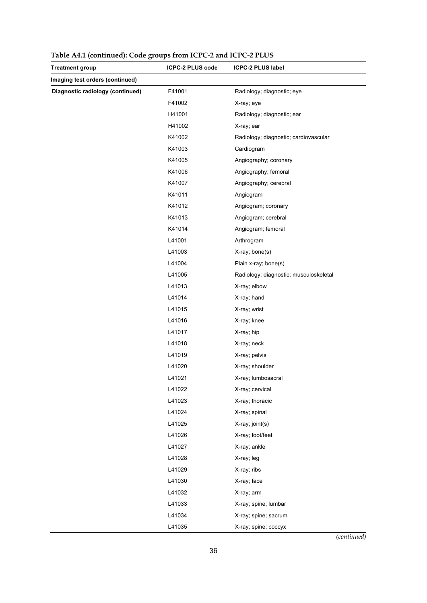| <b>Treatment group</b>           | ICPC-2 PLUS code | <b>ICPC-2 PLUS label</b>               |
|----------------------------------|------------------|----------------------------------------|
| Imaging test orders (continued)  |                  |                                        |
| Diagnostic radiology (continued) | F41001           | Radiology; diagnostic; eye             |
|                                  | F41002           | X-ray; eye                             |
|                                  | H41001           | Radiology; diagnostic; ear             |
|                                  | H41002           | X-ray; ear                             |
|                                  | K41002           | Radiology; diagnostic; cardiovascular  |
|                                  | K41003           | Cardiogram                             |
|                                  | K41005           | Angiography; coronary                  |
|                                  | K41006           | Angiography; femoral                   |
|                                  | K41007           | Angiography; cerebral                  |
|                                  | K41011           | Angiogram                              |
|                                  | K41012           | Angiogram; coronary                    |
|                                  | K41013           | Angiogram; cerebral                    |
|                                  | K41014           | Angiogram; femoral                     |
|                                  | L41001           | Arthrogram                             |
|                                  | L41003           | X-ray; bone(s)                         |
|                                  | L41004           | Plain x-ray; bone(s)                   |
|                                  | L41005           | Radiology; diagnostic; musculoskeletal |
|                                  | L41013           | X-ray; elbow                           |
|                                  | L41014           | X-ray; hand                            |
|                                  | L41015           | X-ray; wrist                           |
|                                  | L41016           | X-ray; knee                            |
|                                  | L41017           | X-ray; hip                             |
|                                  | L41018           | X-ray; neck                            |
|                                  | L41019           | X-ray; pelvis                          |
|                                  | L41020           | X-ray; shoulder                        |
|                                  | L41021           | X-ray; lumbosacral                     |
|                                  | L41022           | X-ray; cervical                        |
|                                  | L41023           | X-ray; thoracic                        |
|                                  | L41024           | X-ray; spinal                          |
|                                  | L41025           | X-ray; joint(s)                        |
|                                  | L41026           | X-ray; foot/feet                       |
|                                  | L41027           | X-ray; ankle                           |
|                                  | L41028           | X-ray; leg                             |
|                                  | L41029           | X-ray; ribs                            |
|                                  | L41030           | X-ray; face                            |
|                                  | L41032           | X-ray; arm                             |
|                                  | L41033           | X-ray; spine; lumbar                   |
|                                  | L41034           | X-ray; spine; sacrum                   |
|                                  | L41035           | X-ray; spine; coccyx<br>antinuad       |

**Table A4.1 (continued): Code groups from ICPC-2 and ICPC-2 PLUS**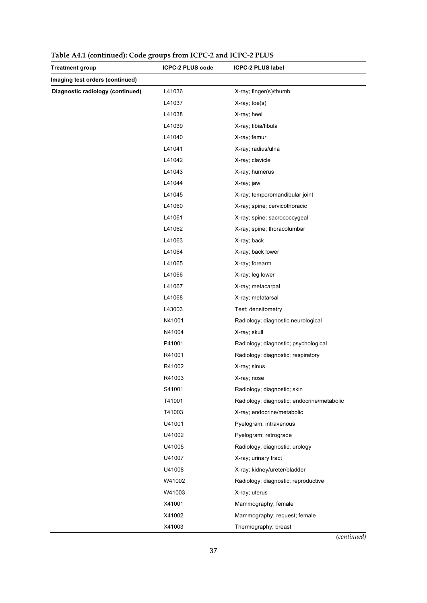| <b>Treatment group</b>           | ICPC-2 PLUS code | <b>ICPC-2 PLUS label</b>                   |
|----------------------------------|------------------|--------------------------------------------|
| Imaging test orders (continued)  |                  |                                            |
| Diagnostic radiology (continued) | L41036           | X-ray; finger(s)/thumb                     |
|                                  | L41037           | $X-ray$ ; toe $(s)$                        |
|                                  | L41038           | X-ray; heel                                |
|                                  | L41039           | X-ray; tibia/fibula                        |
|                                  | L41040           | X-ray; femur                               |
|                                  | L41041           | X-ray; radius/ulna                         |
|                                  | L41042           | X-ray; clavicle                            |
|                                  | L41043           | X-ray; humerus                             |
|                                  | L41044           | X-ray; jaw                                 |
|                                  | L41045           | X-ray; temporomandibular joint             |
|                                  | L41060           | X-ray; spine; cervicothoracic              |
|                                  | L41061           | X-ray; spine; sacrococcygeal               |
|                                  | L41062           | X-ray; spine; thoracolumbar                |
|                                  | L41063           | X-ray; back                                |
|                                  | L41064           | X-ray; back lower                          |
|                                  | L41065           | X-ray; forearm                             |
|                                  | L41066           | X-ray; leg lower                           |
|                                  | L41067           | X-ray; metacarpal                          |
|                                  | L41068           | X-ray; metatarsal                          |
|                                  | L43003           | Test; densitometry                         |
|                                  | N41001           | Radiology; diagnostic neurological         |
|                                  | N41004           | X-ray; skull                               |
|                                  | P41001           | Radiology; diagnostic; psychological       |
|                                  | R41001           | Radiology; diagnostic; respiratory         |
|                                  | R41002           | X-ray; sinus                               |
|                                  | R41003           | X-ray; nose                                |
|                                  | S41001           | Radiology; diagnostic; skin                |
|                                  | T41001           | Radiology; diagnostic; endocrine/metabolic |
|                                  | T41003           | X-ray; endocrine/metabolic                 |
|                                  | U41001           | Pyelogram; intravenous                     |
|                                  | U41002           | Pyelogram; retrograde                      |
|                                  | U41005           | Radiology; diagnostic; urology             |
|                                  | U41007           | X-ray; urinary tract                       |
|                                  | U41008           | X-ray; kidney/ureter/bladder               |
|                                  | W41002           | Radiology; diagnostic; reproductive        |
|                                  | W41003           | X-ray; uterus                              |
|                                  | X41001           | Mammography; female                        |
|                                  | X41002           | Mammography; request; female               |
|                                  | X41003           | Thermography; breast                       |

**Table A4.1 (continued): Code groups from ICPC-2 and ICPC-2 PLUS**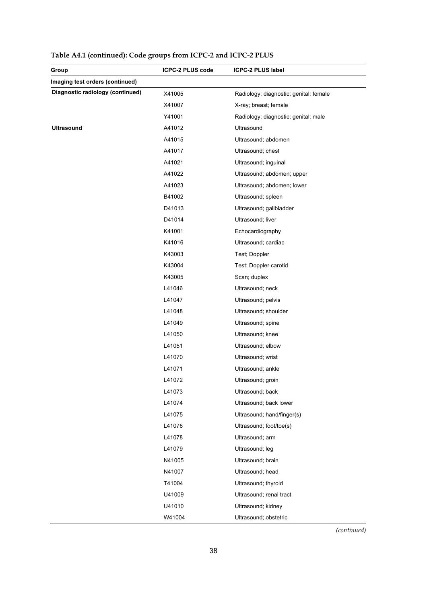| Group                            | ICPC-2 PLUS code | <b>ICPC-2 PLUS label</b>               |
|----------------------------------|------------------|----------------------------------------|
| Imaging test orders (continued)  |                  |                                        |
| Diagnostic radiology (continued) | X41005           | Radiology; diagnostic; genital; female |
|                                  | X41007           | X-ray; breast; female                  |
|                                  | Y41001           | Radiology; diagnostic; genital; male   |
| <b>Ultrasound</b>                | A41012           | Ultrasound                             |
|                                  | A41015           | Ultrasound; abdomen                    |
|                                  | A41017           | Ultrasound; chest                      |
|                                  | A41021           | Ultrasound; inguinal                   |
|                                  | A41022           | Ultrasound; abdomen; upper             |
|                                  | A41023           | Ultrasound; abdomen; lower             |
|                                  | B41002           | Ultrasound; spleen                     |
|                                  | D41013           | Ultrasound; gallbladder                |
|                                  | D41014           | Ultrasound; liver                      |
|                                  | K41001           | Echocardiography                       |
|                                  | K41016           | Ultrasound; cardiac                    |
|                                  | K43003           | Test; Doppler                          |
|                                  | K43004           | Test; Doppler carotid                  |
|                                  | K43005           | Scan; duplex                           |
|                                  | L41046           | Ultrasound; neck                       |
|                                  | L41047           | Ultrasound; pelvis                     |
|                                  | L41048           | Ultrasound; shoulder                   |
|                                  | L41049           | Ultrasound; spine                      |
|                                  | L41050           | Ultrasound; knee                       |
|                                  | L41051           | Ultrasound; elbow                      |
|                                  | L41070           | Ultrasound; wrist                      |
|                                  | L41071           | Ultrasound; ankle                      |
|                                  | L41072           | Ultrasound; groin                      |
|                                  | L41073           | Ultrasound; back                       |
|                                  | L41074           | Ultrasound; back lower                 |
|                                  | L41075           | Ultrasound; hand/finger(s)             |
|                                  | L41076           | Ultrasound; foot/toe(s)                |
|                                  | L41078           | Ultrasound; arm                        |
|                                  | L41079           | Ultrasound; leg                        |
|                                  | N41005           | Ultrasound; brain                      |
|                                  | N41007           | Ultrasound; head                       |
|                                  | T41004           | Ultrasound; thyroid                    |
|                                  | U41009           | Ultrasound; renal tract                |
|                                  | U41010           | Ultrasound; kidney                     |
|                                  | W41004           | Ultrasound; obstetric                  |

**Table A4.1 (continued): Code groups from ICPC-2 and ICPC-2 PLUS**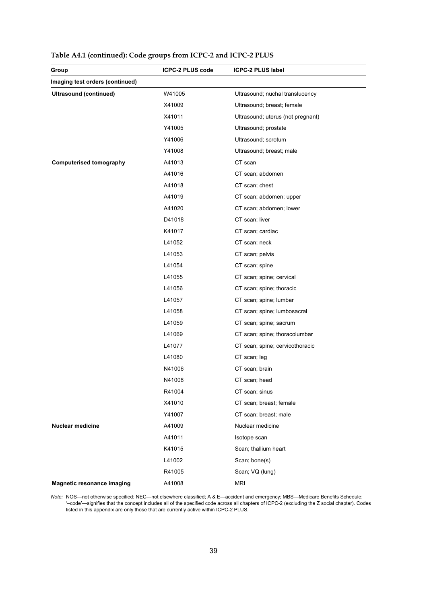| Group                             | <b>ICPC-2 PLUS code</b> | <b>ICPC-2 PLUS label</b>          |
|-----------------------------------|-------------------------|-----------------------------------|
| Imaging test orders (continued)   |                         |                                   |
| <b>Ultrasound (continued)</b>     | W41005                  | Ultrasound; nuchal translucency   |
|                                   | X41009                  | Ultrasound; breast; female        |
|                                   | X41011                  | Ultrasound; uterus (not pregnant) |
|                                   | Y41005                  | Ultrasound; prostate              |
|                                   | Y41006                  | Ultrasound; scrotum               |
|                                   | Y41008                  | Ultrasound; breast; male          |
| <b>Computerised tomography</b>    | A41013                  | CT scan                           |
|                                   | A41016                  | CT scan; abdomen                  |
|                                   | A41018                  | CT scan; chest                    |
|                                   | A41019                  | CT scan; abdomen; upper           |
|                                   | A41020                  | CT scan; abdomen; lower           |
|                                   | D41018                  | CT scan; liver                    |
|                                   | K41017                  | CT scan; cardiac                  |
|                                   | L41052                  | CT scan; neck                     |
|                                   | L41053                  | CT scan; pelvis                   |
|                                   | L41054                  | CT scan; spine                    |
|                                   | L41055                  | CT scan; spine; cervical          |
|                                   | L41056                  | CT scan; spine; thoracic          |
|                                   | L41057                  | CT scan; spine; lumbar            |
|                                   | L41058                  | CT scan; spine; lumbosacral       |
|                                   | L41059                  | CT scan; spine; sacrum            |
|                                   | L41069                  | CT scan; spine; thoracolumbar     |
|                                   | L41077                  | CT scan; spine; cervicothoracic   |
|                                   | L41080                  | CT scan; leg                      |
|                                   | N41006                  | CT scan; brain                    |
|                                   | N41008                  | CT scan; head                     |
|                                   | R41004                  | CT scan; sinus                    |
|                                   | X41010                  | CT scan; breast; female           |
|                                   | Y41007                  | CT scan; breast; male             |
| <b>Nuclear medicine</b>           | A41009                  | Nuclear medicine                  |
|                                   | A41011                  | Isotope scan                      |
|                                   | K41015                  | Scan; thallium heart              |
|                                   | L41002                  | Scan; bone(s)                     |
|                                   | R41005                  | Scan; VQ (lung)                   |
| <b>Magnetic resonance imaging</b> | A41008                  | <b>MRI</b>                        |

**Table A4.1 (continued): Code groups from ICPC-2 and ICPC-2 PLUS**

*Note:* NOS—not otherwise specified; NEC—not elsewhere classified; A & E—accident and emergency; MBS—Medicare Benefits Schedule; '–code'—signifies that the concept includes all of the specified code across all chapters of ICPC-2 (excluding the Z social chapter). Codes listed in this appendix are only those that are currently active within ICPC-2 PLUS.